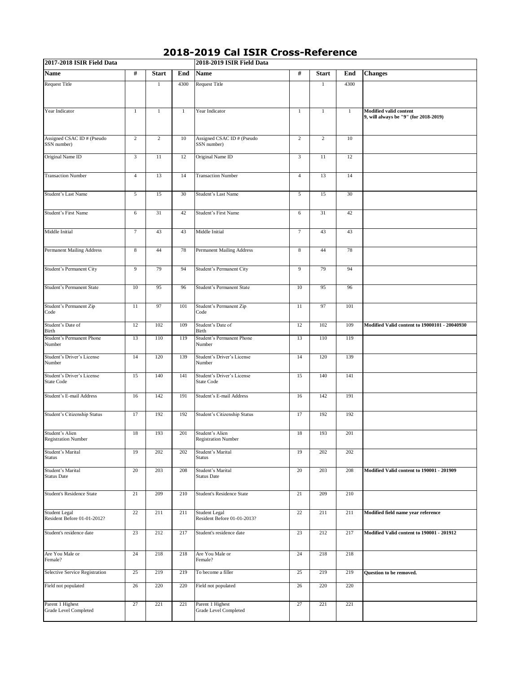| 2017-2018 ISIR Field Data                        |                |                 |              | 2018-2019 ISIR Field Data                       |                |                 |              |                                                                 |  |  |  |
|--------------------------------------------------|----------------|-----------------|--------------|-------------------------------------------------|----------------|-----------------|--------------|-----------------------------------------------------------------|--|--|--|
| <b>Name</b>                                      | #              | <b>Start</b>    | End          | <b>Name</b>                                     | #              | <b>Start</b>    | End          | <b>Changes</b>                                                  |  |  |  |
| <b>Request Title</b>                             |                | 1               | 4300         | <b>Request Title</b>                            |                | 1               | 4300         |                                                                 |  |  |  |
| Year Indicator                                   | $\mathbf{1}$   | $\mathbf{1}$    | $\mathbf{1}$ | Year Indicator                                  | $\mathbf{1}$   | $\mathbf{1}$    | $\mathbf{1}$ | Modified valid content<br>9, will always be "9" (for 2018-2019) |  |  |  |
| Assigned CSAC ID # (Pseudo<br>SSN number)        | $\overline{c}$ | $\overline{c}$  | 10           | Assigned CSAC ID # (Pseudo<br>SSN number)       | $\sqrt{2}$     | $\overline{c}$  | 10           |                                                                 |  |  |  |
| Original Name ID                                 | 3              | $\overline{11}$ | 12           | Original Name ID                                | $\mathfrak{Z}$ | $\overline{11}$ | 12           |                                                                 |  |  |  |
| <b>Transaction Number</b>                        | $\overline{4}$ | 13              | 14           | <b>Transaction Number</b>                       | $\overline{4}$ | 13              | 14           |                                                                 |  |  |  |
| Student's Last Name                              | 5              | 15              | 30           | Student's Last Name                             | $\sqrt{5}$     | 15              | 30           |                                                                 |  |  |  |
| Student's First Name                             | 6              | 31              | 42           | Student's First Name                            | 6              | 31              | 42           |                                                                 |  |  |  |
| Middle Initial                                   | $\tau$         | 43              | 43           | Middle Initial                                  | $\tau$         | 43              | 43           |                                                                 |  |  |  |
| Permanent Mailing Address                        | $\,$ 8 $\,$    | 44              | 78           | <b>Permanent Mailing Address</b>                | $\,$ 8 $\,$    | 44              | 78           |                                                                 |  |  |  |
| Student's Permanent City                         | $\overline{9}$ | 79              | 94           | Student's Permanent City                        | 9              | 79              | 94           |                                                                 |  |  |  |
| Student's Permanent State                        | 10             | 95              | 96           | Student's Permanent State                       | 10             | 95              | 96           |                                                                 |  |  |  |
| Student's Permanent Zip<br>Code                  | 11             | 97              | 101          | Student's Permanent Zip<br>Code                 | 11             | 97              | 101          |                                                                 |  |  |  |
| Student's Date of<br>Birth                       | 12             | 102             | 109          | Student's Date of<br>Birth                      | 12             | 102             | 109          | Modified Valid content to 19000101 - 20040930                   |  |  |  |
| Student's Permanent Phone<br>Number              | 13             | 110             | 119          | Student's Permanent Phone<br>Number             | 13             | 110             | 119          |                                                                 |  |  |  |
| Student's Driver's License<br>Number             | 14             | 120             | 139          | Student's Driver's License<br>Number            | 14             | 120             | 139          |                                                                 |  |  |  |
| Student's Driver's License<br><b>State Code</b>  | 15             | 140             | 141          | Student's Driver's License<br><b>State Code</b> | 15             | 140             | 141          |                                                                 |  |  |  |
| Student's E-mail Address                         | 16             | 142             | 191          | Student's E-mail Address                        | 16             | 142             | 191          |                                                                 |  |  |  |
| Student's Citizenship Status                     | 17             | 192             | 192          | Student's Citizenship Status                    | 17             | 192             | 192          |                                                                 |  |  |  |
| Student's Alien<br><b>Registration Number</b>    | 18             | 193             | 201          | Student's Alien<br><b>Registration Number</b>   | 18             | 193             | 201          |                                                                 |  |  |  |
| Student's Marital<br><b>Status</b>               | 19             | 202             | 202          | Student's Marital<br>Status                     | 19             | 202             | 202          |                                                                 |  |  |  |
| Student's Marital<br><b>Status Date</b>          | 20             | 203             | 208          | <b>Student's Marital</b><br><b>Status Date</b>  | 20             | 203             | 208          | Modified Valid content to 190001 - 201909                       |  |  |  |
| <b>Student's Residence State</b>                 | 21             | 209             | 210          | <b>Student's Residence State</b>                | 21             | 209             | 210          |                                                                 |  |  |  |
| Student Legal<br>Resident Before 01-01-2012?     | 22             | 211             | 211          | Student Legal<br>Resident Before 01-01-2013?    | 22             | 211             | 211          | Modified field name year reference                              |  |  |  |
| Student's residence date                         | 23             | 212             | 217          | Student's residence date                        | 23             | 212             | 217          | Modified Valid content to 190001 - 201912                       |  |  |  |
| Are You Male or<br>Female?                       | 24             | 218             | 218          | Are You Male or<br>Female?                      | 24             | 218             | 218          |                                                                 |  |  |  |
| Selective Service Registration                   | 25             | 219             | 219          | To become a filler                              | 25             | 219             | 219          | Question to be removed.                                         |  |  |  |
| Field not populated                              | 26             | 220             | 220          | Field not populated                             | 26             | 220             | 220          |                                                                 |  |  |  |
| Parent 1 Highest<br><b>Grade Level Completed</b> | 27             | 221             | 221          | Parent 1 Highest<br>Grade Level Completed       | 27             | 221             | 221          |                                                                 |  |  |  |

## **2018-2019 Cal ISIR Cross-Reference**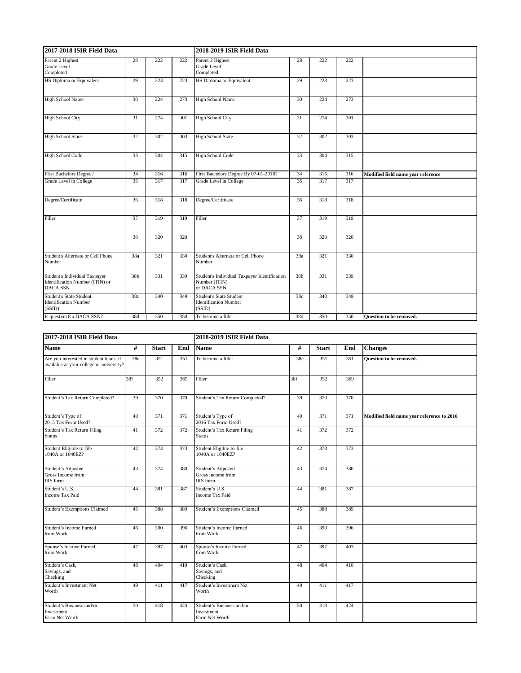| 2017-2018 ISIR Field Data                                                           |                 |     |     | 2018-2019 ISIR Field Data                                                    |                 |     |     |                                    |  |  |
|-------------------------------------------------------------------------------------|-----------------|-----|-----|------------------------------------------------------------------------------|-----------------|-----|-----|------------------------------------|--|--|
| Parent 2 Highest<br>Grade Level<br>Completed                                        | 28              | 222 | 222 | Parent 2 Highest<br><b>Grade Level</b><br>Completed                          | 28              | 222 | 222 |                                    |  |  |
| HS Diploma or Equivalent                                                            | 29              | 223 | 223 | HS Diploma or Equivalent                                                     | 29              | 223 | 223 |                                    |  |  |
| <b>High School Name</b>                                                             | 30              | 224 | 273 | <b>High School Name</b>                                                      | 30              | 224 | 273 |                                    |  |  |
| <b>High School City</b>                                                             | 31              | 274 | 301 | <b>High School City</b>                                                      | 31              | 274 | 301 |                                    |  |  |
| <b>High School State</b>                                                            | 32              | 302 | 303 | <b>High School State</b>                                                     | 32              | 302 | 303 |                                    |  |  |
| <b>High School Code</b>                                                             | 33              | 304 | 315 | <b>High School Code</b>                                                      | 33              | 304 | 315 |                                    |  |  |
| First Bachelors Degree?                                                             | 34              | 316 | 316 | First Bachelors Degree By 07-01-2018?                                        | 34              | 316 | 316 | Modified field name year reference |  |  |
| Grade Level in College                                                              | 35              | 317 | 317 | Grade Level in College                                                       | 35              | 317 | 317 |                                    |  |  |
| Degree/Certificate                                                                  | 36              | 318 | 318 | Degree/Certificate                                                           | 36              | 318 | 318 |                                    |  |  |
| Filler                                                                              | 37              | 319 | 319 | Filler                                                                       | 37              | 319 | 319 |                                    |  |  |
|                                                                                     | 38              | 320 | 320 |                                                                              | 38              | 320 | 320 |                                    |  |  |
| Student's Alternate or Cell Phone<br>Number                                         | 38a             | 321 | 330 | Student's Alternate or Cell Phone<br>Number                                  | 38a             | 321 | 330 |                                    |  |  |
| Student's Individual Taxpayer<br>Identification Number (ITIN) or<br><b>DACA SSN</b> | 38 <sub>b</sub> | 331 | 339 | Student's Individual Taxpayer Identification<br>Number (ITIN)<br>or DACA SSN | 38 <sub>b</sub> | 331 | 339 |                                    |  |  |
| <b>Student's State Student</b><br><b>Identification Number</b><br>(SSID)            | 38c             | 340 | 349 | <b>Student's State Student</b><br><b>Identification Number</b><br>(SSID)     | 38c             | 340 | 349 |                                    |  |  |
| Is question 8 a DACA SSN?                                                           | 38d             | 350 | 350 | To become a filler                                                           | 38d             | 350 | 350 | <b>Ouestion to be removed.</b>     |  |  |

| 2017-2018 ISIR Field Data                                                           |     |              |     | 2018-2019 ISIR Field Data                                 |     |              |     |                                            |  |
|-------------------------------------------------------------------------------------|-----|--------------|-----|-----------------------------------------------------------|-----|--------------|-----|--------------------------------------------|--|
| <b>Name</b>                                                                         | #   | <b>Start</b> | End | <b>Name</b>                                               | #   | <b>Start</b> | End | <b>Changes</b>                             |  |
| Are you interested in student loans, if<br>available at your college or university? | 38e | 351          | 351 | To become a filler                                        | 38e | 351          | 351 | <b>Ouestion to be removed.</b>             |  |
| Filler                                                                              | 38f | 352          | 369 | Filler                                                    | 38f | 352          | 369 |                                            |  |
| Student's Tax Return Completed?                                                     | 39  | 370          | 370 | Student's Tax Return Completed?                           | 39  | 370          | 370 |                                            |  |
| Student's Type of<br>2015 Tax Form Used?                                            | 40  | 371          | 371 | Student's Type of<br>2016 Tax Form Used?                  | 40  | 371          | 371 | Modified field name year reference to 2016 |  |
| Student's Tax Return Filing<br><b>Status</b>                                        | 41  | 372          | 372 | Student's Tax Return Filing<br><b>Status</b>              | 41  | 372          | 372 |                                            |  |
| Student Eligible to file<br>1040A or 1040EZ?                                        | 42  | 373          | 373 | Student Eligible to file<br>1040A or 1040EZ?              | 42  | 373          | 373 |                                            |  |
| Student's Adjusted<br>Gross Income from<br>IRS form                                 | 43  | 374          | 380 | Student's Adjusted<br>Gross Income from<br>IRS form       | 43  | 374          | 380 |                                            |  |
| Student's U.S.<br><b>Income Tax Paid</b>                                            | 44  | 381          | 387 | Student's U.S.<br><b>Income Tax Paid</b>                  | 44  | 381          | 387 |                                            |  |
| <b>Student's Exemptions Claimed</b>                                                 | 45  | 388          | 389 | <b>Student's Exemptions Claimed</b>                       | 45  | 388          | 389 |                                            |  |
| Student's Income Earned<br>from Work                                                | 46  | 390          | 396 | <b>Student's Income Earned</b><br>from Work               | 46  | 390          | 396 |                                            |  |
| Spouse's Income Earned<br>from Work                                                 | 47  | 397          | 403 | Spouse's Income Earned<br>from Work                       | 47  | 397          | 403 |                                            |  |
| Student's Cash,<br>Savings, and<br>Checking                                         | 48  | 404          | 410 | Student's Cash,<br>Savings, and<br>Checking               | 48  | 404          | 410 |                                            |  |
| Student's Investment Net<br>Worth                                                   | 49  | 411          | 417 | Student's Investment Net<br>Worth                         | 49  | 411          | 417 |                                            |  |
| Student's Business and/or<br>Investment<br>Farm Net Worth                           | 50  | 418          | 424 | Student's Business and/or<br>Investment<br>Farm Net Worth | 50  | 418          | 424 |                                            |  |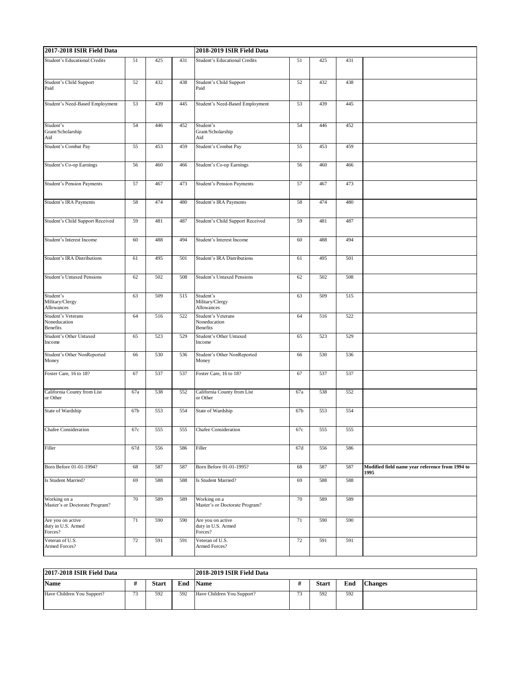| 2017-2018 ISIR Field Data                             |     |     |     | 2018-2019 ISIR Field Data                             |                 |     |     |                                                         |  |
|-------------------------------------------------------|-----|-----|-----|-------------------------------------------------------|-----------------|-----|-----|---------------------------------------------------------|--|
| Student's Educational Credits                         | 51  | 425 | 431 | Student's Educational Credits                         | 51              | 425 | 431 |                                                         |  |
| Student's Child Support<br>Paid                       | 52  | 432 | 438 | Student's Child Support<br>Paid                       | 52              | 432 | 438 |                                                         |  |
| Student's Need-Based Employment                       | 53  | 439 | 445 | Student's Need-Based Employment                       | 53              | 439 | 445 |                                                         |  |
| Student's<br>Grant/Scholarship<br>Aid                 | 54  | 446 | 452 | Student's<br>Grant/Scholarship<br>Aid                 | 54              | 446 | 452 |                                                         |  |
| Student's Combat Pay                                  | 55  | 453 | 459 | Student's Combat Pay                                  | 55              | 453 | 459 |                                                         |  |
| Student's Co-op Earnings                              | 56  | 460 | 466 | <b>Student's Co-op Earnings</b>                       | 56              | 460 | 466 |                                                         |  |
| Student's Pension Payments                            | 57  | 467 | 473 | <b>Student's Pension Payments</b>                     | 57              | 467 | 473 |                                                         |  |
| Student's IRA Payments                                | 58  | 474 | 480 | Student's IRA Payments                                | 58              | 474 | 480 |                                                         |  |
| Student's Child Support Received                      | 59  | 481 | 487 | Student's Child Support Received                      | 59              | 481 | 487 |                                                         |  |
| Student's Interest Income                             | 60  | 488 | 494 | Student's Interest Income                             | 60              | 488 | 494 |                                                         |  |
| Student's IRA Distributions                           | 61  | 495 | 501 | Student's IRA Distributions                           | 61              | 495 | 501 |                                                         |  |
| <b>Student's Untaxed Pensions</b>                     | 62  | 502 | 508 | <b>Student's Untaxed Pensions</b>                     | 62              | 502 | 508 |                                                         |  |
| Student's<br>Military/Clergy<br>Allowances            | 63  | 509 | 515 | Student's<br>Military/Clergy<br>Allowances            | 63              | 509 | 515 |                                                         |  |
| Student's Veterans<br>Noneducation<br><b>Benefits</b> | 64  | 516 | 522 | Student's Veterans<br>Noneducation<br><b>Benefits</b> | 64              | 516 | 522 |                                                         |  |
| Student's Other Untaxed<br>Income                     | 65  | 523 | 529 | Student's Other Untaxed<br>Income                     | 65              | 523 | 529 |                                                         |  |
| Student's Other NonReported<br>Money                  | 66  | 530 | 536 | Student's Other NonReported<br>Money                  | 66              | 530 | 536 |                                                         |  |
| Foster Care, 16 to 18?                                | 67  | 537 | 537 | Foster Care, 16 to 18?                                | 67              | 537 | 537 |                                                         |  |
| California County from List<br>or Other               | 67a | 538 | 552 | California County from List<br>or Other               | 67a             | 538 | 552 |                                                         |  |
| State of Wardship                                     | 67b | 553 | 554 | State of Wardship                                     | 67 <sub>b</sub> | 553 | 554 |                                                         |  |
| <b>Chafee Consideration</b>                           | 67c | 555 | 555 | <b>Chafee Consideration</b>                           | 67c             | 555 | 555 |                                                         |  |
| Filler                                                | 67d | 556 | 586 | Filler                                                | 67d             | 556 | 586 |                                                         |  |
| Born Before 01-01-1994?                               | 68  | 587 | 587 | Born Before 01-01-1995?                               | 68              | 587 | 587 | Modified field name year reference from 1994 to<br>1995 |  |
| <b>Is Student Married?</b>                            | 69  | 588 | 588 | Is Student Married?                                   | 69              | 588 | 588 |                                                         |  |
| Working on a<br>Master's or Doctorate Program?        | 70  | 589 | 589 | Working on a<br>Master's or Doctorate Program?        | 70              | 589 | 589 |                                                         |  |
| Are you on active<br>duty in U.S. Armed<br>Forces?    | 71  | 590 | 590 | Are you on active<br>duty in U.S. Armed<br>Forces?    | 71              | 590 | 590 |                                                         |  |
| Veteran of U.S.<br>Armed Forces?                      | 72  | 591 | 591 | Veteran of U.S.<br>Armed Forces?                      | 72              | 591 | 591 |                                                         |  |

| 2017-2018 ISIR Field Data  |           |              |     | 2018-2019 ISIR Field Data  |           |              |     |                |
|----------------------------|-----------|--------------|-----|----------------------------|-----------|--------------|-----|----------------|
| <b>Name</b>                |           | <b>Start</b> | End | <b>Name</b>                |           | <b>Start</b> | End | <b>Changes</b> |
| Have Children You Support? | 72<br>ر ر | 592          | 592 | Have Children You Support? | 72<br>, , | 592          | 592 |                |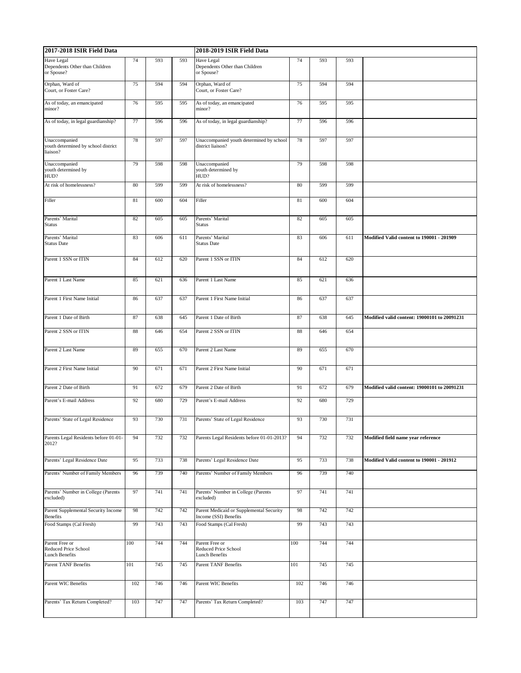| 2017-2018 ISIR Field Data                                        |     |     |     | 2018-2019 ISIR Field Data                                         |     |     |     |                                              |  |  |
|------------------------------------------------------------------|-----|-----|-----|-------------------------------------------------------------------|-----|-----|-----|----------------------------------------------|--|--|
| Have Legal<br>Dependents Other than Children<br>or Spouse?       | 74  | 593 | 593 | Have Legal<br>Dependents Other than Children<br>or Spouse?        | 74  | 593 | 593 |                                              |  |  |
| Orphan, Ward of<br>Court, or Foster Care?                        | 75  | 594 | 594 | Orphan, Ward of<br>Court, or Foster Care?                         | 75  | 594 | 594 |                                              |  |  |
| As of today, an emancipated<br>minor?                            | 76  | 595 | 595 | As of today, an emancipated<br>minor?                             | 76  | 595 | 595 |                                              |  |  |
| As of today, in legal guardianship?                              | 77  | 596 | 596 | As of today, in legal guardianship?                               | 77  | 596 | 596 |                                              |  |  |
| Unaccompanied<br>youth determined by school district<br>liaison? | 78  | 597 | 597 | Unaccompanied youth determined by school<br>district liaison?     | 78  | 597 | 597 |                                              |  |  |
| Unaccompanied<br>youth determined by<br>HUD?                     | 79  | 598 | 598 | Unaccompanied<br>youth determined by<br>HUD?                      | 79  | 598 | 598 |                                              |  |  |
| At risk of homelessness?                                         | 80  | 599 | 599 | At risk of homelessness?                                          | 80  | 599 | 599 |                                              |  |  |
| Filler                                                           | 81  | 600 | 604 | Filler                                                            | 81  | 600 | 604 |                                              |  |  |
| Parents' Marital<br><b>Status</b>                                | 82  | 605 | 605 | Parents' Marital<br><b>Status</b>                                 | 82  | 605 | 605 |                                              |  |  |
| Parents' Marital<br><b>Status Date</b>                           | 83  | 606 | 611 | Parents' Marital<br><b>Status Date</b>                            | 83  | 606 | 611 | Modified Valid content to 190001 - 201909    |  |  |
| Parent 1 SSN or ITIN                                             | 84  | 612 | 620 | Parent 1 SSN or ITIN                                              | 84  | 612 | 620 |                                              |  |  |
| Parent 1 Last Name                                               | 85  | 621 | 636 | Parent 1 Last Name                                                | 85  | 621 | 636 |                                              |  |  |
| Parent 1 First Name Initial                                      | 86  | 637 | 637 | Parent 1 First Name Initial                                       | 86  | 637 | 637 |                                              |  |  |
| Parent 1 Date of Birth                                           | 87  | 638 | 645 | Parent 1 Date of Birth                                            | 87  | 638 | 645 | Modified valid content: 19000101 to 20091231 |  |  |
| Parent 2 SSN or ITIN                                             | 88  | 646 | 654 | Parent 2 SSN or ITIN                                              | 88  | 646 | 654 |                                              |  |  |
| Parent 2 Last Name                                               | 89  | 655 | 670 | Parent 2 Last Name                                                | 89  | 655 | 670 |                                              |  |  |
| Parent 2 First Name Initial                                      | 90  | 671 | 671 | Parent 2 First Name Initial                                       | 90  | 671 | 671 |                                              |  |  |
| Parent 2 Date of Birth                                           | 91  | 672 | 679 | Parent 2 Date of Birth                                            | 91  | 672 | 679 | Modified valid content: 19000101 to 20091231 |  |  |
| Parent's E-mail Address                                          | 92  | 680 | 729 | Parent's E-mail Address                                           | 92  | 680 | 729 |                                              |  |  |
| Parents' State of Legal Residence                                | 93  | 730 | 731 | Parents' State of Legal Residence                                 | 93  | 730 | 731 |                                              |  |  |
| Parents Legal Residents before 01-01-<br>2012?                   | 94  | 732 | 732 | Parents Legal Residents before 01-01-2013?                        | 94  | 732 | 732 | Modified field name vear reference           |  |  |
| Parents' Legal Residence Date                                    | 95  | 733 | 738 | Parents' Legal Residence Date                                     | 95  | 733 | 738 | Modified Valid content to 190001 - 201912    |  |  |
| Parents' Number of Family Members                                | 96  | 739 | 740 | Parents' Number of Family Members                                 | 96  | 739 | 740 |                                              |  |  |
| Parents' Number in College (Parents<br>excluded)                 | 97  | 741 | 741 | Parents' Number in College (Parents<br>excluded)                  | 97  | 741 | 741 |                                              |  |  |
| Parent Supplemental Security Income<br>Benefits                  | 98  | 742 | 742 | Parent Medicaid or Supplemental Security<br>Income (SSI) Benefits | 98  | 742 | 742 |                                              |  |  |
| Food Stamps (Cal Fresh)                                          | 99  | 743 | 743 | Food Stamps (Cal Fresh)                                           | 99  | 743 | 743 |                                              |  |  |
| Parent Free or<br>Reduced Price School<br><b>Lunch Benefits</b>  | 100 | 744 | 744 | Parent Free or<br>Reduced Price School<br><b>Lunch Benefits</b>   | 100 | 744 | 744 |                                              |  |  |
| Parent TANF Benefits                                             | 101 | 745 | 745 | <b>Parent TANF Benefits</b>                                       | 101 | 745 | 745 |                                              |  |  |
| Parent WIC Benefits                                              | 102 | 746 | 746 | Parent WIC Benefits                                               | 102 | 746 | 746 |                                              |  |  |
| Parents' Tax Return Completed?                                   | 103 | 747 | 747 | Parents' Tax Return Completed?                                    | 103 | 747 | 747 |                                              |  |  |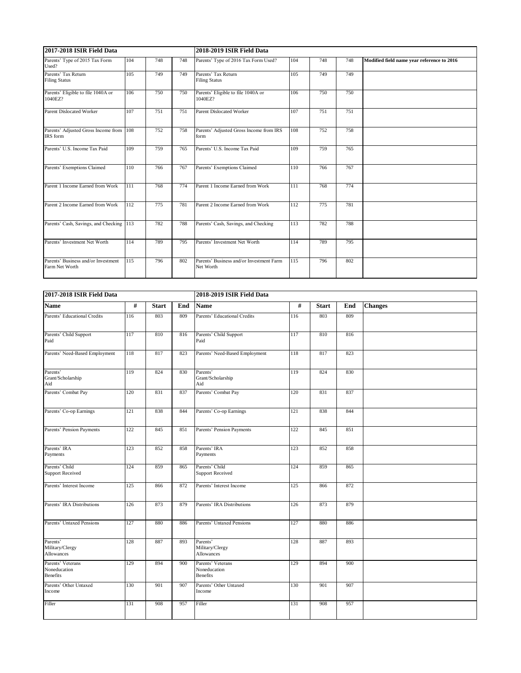| 2017-2018 ISIR Field Data                             |     |     |     | 2018-2019 ISIR Field Data                             |     |     |     |                                            |  |  |  |
|-------------------------------------------------------|-----|-----|-----|-------------------------------------------------------|-----|-----|-----|--------------------------------------------|--|--|--|
| Parents' Type of 2015 Tax Form<br>Used?               | 104 | 748 | 748 | Parents' Type of 2016 Tax Form Used?                  | 104 | 748 | 748 | Modified field name year reference to 2016 |  |  |  |
| Parents' Tax Return<br><b>Filing Status</b>           | 105 | 749 | 749 | Parents' Tax Return<br><b>Filing Status</b>           | 105 | 749 | 749 |                                            |  |  |  |
| Parents' Eligible to file 1040A or<br>1040EZ?         | 106 | 750 | 750 | Parents' Eligible to file 1040A or<br>1040EZ?         | 106 | 750 | 750 |                                            |  |  |  |
| Parent Dislocated Worker                              | 107 | 751 | 751 | <b>Parent Dislocated Worker</b>                       | 107 | 751 | 751 |                                            |  |  |  |
| Parents' Adjusted Gross Income from<br>IRS form       | 108 | 752 | 758 | Parents' Adjusted Gross Income from IRS<br>form       | 108 | 752 | 758 |                                            |  |  |  |
| Parents' U.S. Income Tax Paid                         | 109 | 759 | 765 | Parents' U.S. Income Tax Paid                         | 109 | 759 | 765 |                                            |  |  |  |
| Parents' Exemptions Claimed                           | 110 | 766 | 767 | Parents' Exemptions Claimed                           | 110 | 766 | 767 |                                            |  |  |  |
| Parent 1 Income Earned from Work                      | 111 | 768 | 774 | Parent 1 Income Earned from Work                      | 111 | 768 | 774 |                                            |  |  |  |
| Parent 2 Income Earned from Work                      | 112 | 775 | 781 | Parent 2 Income Earned from Work                      | 112 | 775 | 781 |                                            |  |  |  |
| Parents' Cash, Savings, and Checking 113              |     | 782 | 788 | Parents' Cash, Savings, and Checking                  | 113 | 782 | 788 |                                            |  |  |  |
| Parents' Investment Net Worth                         | 114 | 789 | 795 | Parents' Investment Net Worth                         | 114 | 789 | 795 |                                            |  |  |  |
| Parents' Business and/or Investment<br>Farm Net Worth | 115 | 796 | 802 | Parents' Business and/or Investment Farm<br>Net Worth | 115 | 796 | 802 |                                            |  |  |  |

| 2017-2018 ISIR Field Data                            |     |              |     | 2018-2019 ISIR Field Data                            |     |              |     |                |  |  |
|------------------------------------------------------|-----|--------------|-----|------------------------------------------------------|-----|--------------|-----|----------------|--|--|
| Name                                                 | #   | <b>Start</b> | End | <b>Name</b>                                          | #   | <b>Start</b> | End | <b>Changes</b> |  |  |
| Parents' Educational Credits                         | 116 | 803          | 809 | Parents' Educational Credits                         | 116 | 803          | 809 |                |  |  |
| Parents' Child Support<br>Paid                       | 117 | 810          | 816 | Parents' Child Support<br>Paid                       | 117 | 810          | 816 |                |  |  |
| Parents' Need-Based Employment                       | 118 | 817          | 823 | Parents' Need-Based Employment                       | 118 | 817          | 823 |                |  |  |
| Parents'<br>Grant/Scholarship<br>Aid                 | 119 | 824          | 830 | Parents'<br>Grant/Scholarship<br>Aid                 | 119 | 824          | 830 |                |  |  |
| Parents' Combat Pay                                  | 120 | 831          | 837 | Parents' Combat Pay                                  | 120 | 831          | 837 |                |  |  |
| Parents' Co-op Earnings                              | 121 | 838          | 844 | Parents' Co-op Earnings                              | 121 | 838          | 844 |                |  |  |
| Parents' Pension Payments                            | 122 | 845          | 851 | Parents' Pension Payments                            | 122 | 845          | 851 |                |  |  |
| Parents' IRA<br>Payments                             | 123 | 852          | 858 | Parents' IRA<br>Payments                             | 123 | 852          | 858 |                |  |  |
| Parents' Child<br><b>Support Received</b>            | 124 | 859          | 865 | Parents' Child<br><b>Support Received</b>            | 124 | 859          | 865 |                |  |  |
| Parents' Interest Income                             | 125 | 866          | 872 | Parents' Interest Income                             | 125 | 866          | 872 |                |  |  |
| Parents' IRA Distributions                           | 126 | 873          | 879 | Parents' IRA Distributions                           | 126 | 873          | 879 |                |  |  |
| Parents' Untaxed Pensions                            | 127 | 880          | 886 | Parents' Untaxed Pensions                            | 127 | 880          | 886 |                |  |  |
| Parents'<br>Military/Clergy<br><b>Allowances</b>     | 128 | 887          | 893 | Parents'<br>Military/Clergy<br><b>Allowances</b>     | 128 | 887          | 893 |                |  |  |
| Parents' Veterans<br>Noneducation<br><b>Benefits</b> | 129 | 894          | 900 | Parents' Veterans<br>Noneducation<br><b>Benefits</b> | 129 | 894          | 900 |                |  |  |
| Parents' Other Untaxed<br>Income                     | 130 | 901          | 907 | Parents' Other Untaxed<br>Income                     | 130 | 901          | 907 |                |  |  |
| Filler                                               | 131 | 908          | 957 | Filler                                               | 131 | 908          | 957 |                |  |  |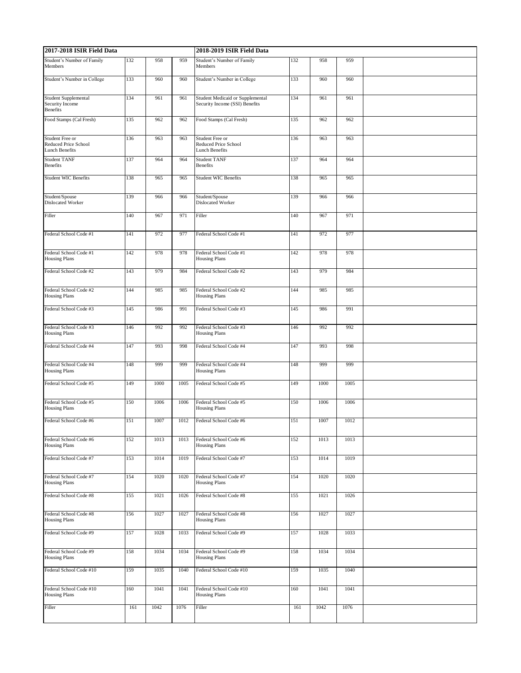| 2017-2018 ISIR Field Data                                               |     |      |      | 2018-2019 ISIR Field Data                                                 |     |      |      |  |  |
|-------------------------------------------------------------------------|-----|------|------|---------------------------------------------------------------------------|-----|------|------|--|--|
| Student's Number of Family<br>Members                                   | 132 | 958  | 959  | Student's Number of Family<br>Members                                     | 132 | 958  | 959  |  |  |
| Student's Number in College                                             | 133 | 960  | 960  | Student's Number in College                                               | 133 | 960  | 960  |  |  |
| <b>Student Supplemental</b><br>Security Income<br><b>Benefits</b>       | 134 | 961  | 961  | <b>Student Medicaid or Supplemental</b><br>Security Income (SSI) Benefits | 134 | 961  | 961  |  |  |
| Food Stamps (Cal Fresh)                                                 | 135 | 962  | 962  | Food Stamps (Cal Fresh)                                                   | 135 | 962  | 962  |  |  |
| Student Free or<br><b>Reduced Price School</b><br><b>Lunch Benefits</b> | 136 | 963  | 963  | Student Free or<br>Reduced Price School<br><b>Lunch Benefits</b>          | 136 | 963  | 963  |  |  |
| <b>Student TANF</b><br><b>Benefits</b>                                  | 137 | 964  | 964  | <b>Student TANF</b><br>Benefits                                           | 137 | 964  | 964  |  |  |
| <b>Student WIC Benefits</b>                                             | 138 | 965  | 965  | <b>Student WIC Benefits</b>                                               | 138 | 965  | 965  |  |  |
| Student/Spouse<br><b>Dislocated Worker</b>                              | 139 | 966  | 966  | Student/Spouse<br>Dislocated Worker                                       | 139 | 966  | 966  |  |  |
| Filler                                                                  | 140 | 967  | 971  | Filler                                                                    | 140 | 967  | 971  |  |  |
| Federal School Code #1                                                  | 141 | 972  | 977  | Federal School Code #1                                                    | 141 | 972  | 977  |  |  |
| Federal School Code #1<br><b>Housing Plans</b>                          | 142 | 978  | 978  | Federal School Code #1<br><b>Housing Plans</b>                            | 142 | 978  | 978  |  |  |
| Federal School Code #2                                                  | 143 | 979  | 984  | Federal School Code #2                                                    | 143 | 979  | 984  |  |  |
| Federal School Code #2<br><b>Housing Plans</b>                          | 144 | 985  | 985  | Federal School Code #2<br><b>Housing Plans</b>                            | 144 | 985  | 985  |  |  |
| Federal School Code #3                                                  | 145 | 986  | 991  | Federal School Code #3                                                    | 145 | 986  | 991  |  |  |
| Federal School Code #3<br><b>Housing Plans</b>                          | 146 | 992  | 992  | Federal School Code #3<br><b>Housing Plans</b>                            | 146 | 992  | 992  |  |  |
| Federal School Code #4                                                  | 147 | 993  | 998  | Federal School Code #4                                                    | 147 | 993  | 998  |  |  |
| Federal School Code #4<br><b>Housing Plans</b>                          | 148 | 999  | 999  | Federal School Code #4<br><b>Housing Plans</b>                            | 148 | 999  | 999  |  |  |
| Federal School Code #5                                                  | 149 | 1000 | 1005 | Federal School Code #5                                                    | 149 | 1000 | 1005 |  |  |
| Federal School Code #5<br><b>Housing Plans</b>                          | 150 | 1006 | 1006 | Federal School Code #5<br><b>Housing Plans</b>                            | 150 | 1006 | 1006 |  |  |
| Federal School Code #6                                                  | 151 | 1007 | 1012 | Federal School Code #6                                                    | 151 | 1007 | 1012 |  |  |
| Federal School Code #6<br><b>Housing Plans</b>                          | 152 | 1013 | 1013 | Federal School Code #6<br><b>Housing Plans</b>                            | 152 | 1013 | 1013 |  |  |
| Federal School Code #7                                                  | 153 | 1014 | 1019 | Federal School Code #7                                                    | 153 | 1014 | 1019 |  |  |
| Federal School Code #7<br><b>Housing Plans</b>                          | 154 | 1020 | 1020 | Federal School Code #7<br><b>Housing Plans</b>                            | 154 | 1020 | 1020 |  |  |
| Federal School Code #8                                                  | 155 | 1021 | 1026 | Federal School Code #8                                                    | 155 | 1021 | 1026 |  |  |
| Federal School Code #8<br><b>Housing Plans</b>                          | 156 | 1027 | 1027 | Federal School Code #8<br><b>Housing Plans</b>                            | 156 | 1027 | 1027 |  |  |
| Federal School Code #9                                                  | 157 | 1028 | 1033 | Federal School Code #9                                                    | 157 | 1028 | 1033 |  |  |
| Federal School Code #9<br><b>Housing Plans</b>                          | 158 | 1034 | 1034 | Federal School Code #9<br><b>Housing Plans</b>                            | 158 | 1034 | 1034 |  |  |
| Federal School Code #10                                                 | 159 | 1035 | 1040 | Federal School Code #10                                                   | 159 | 1035 | 1040 |  |  |
| Federal School Code #10<br><b>Housing Plans</b>                         | 160 | 1041 | 1041 | Federal School Code #10<br><b>Housing Plans</b>                           | 160 | 1041 | 1041 |  |  |
| Filler                                                                  | 161 | 1042 | 1076 | Filler                                                                    | 161 | 1042 | 1076 |  |  |
|                                                                         |     |      |      |                                                                           |     |      |      |  |  |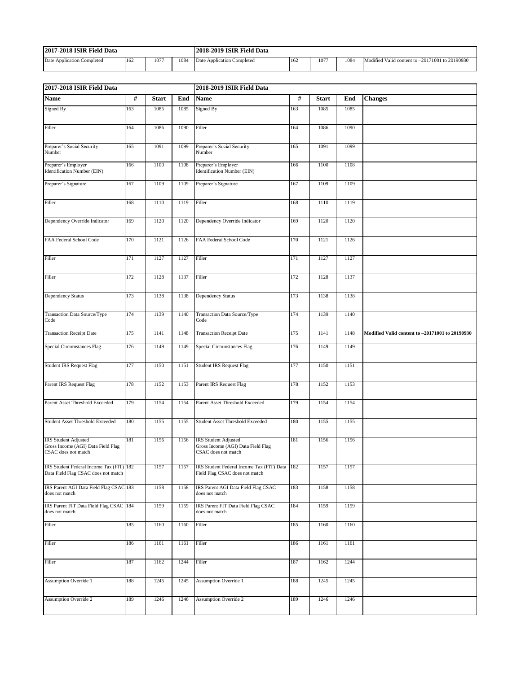| 7-2018 ISIR Field Data<br>2017 |     |      |      | 2018-2019 ISIR Field Data  |     |      |      |                                                      |  |
|--------------------------------|-----|------|------|----------------------------|-----|------|------|------------------------------------------------------|--|
| Date Application Completed     | 162 | 1077 | 1084 | Date Application Completed | 162 | 1077 | 1084 | Modified Valid content to -20171001<br>1 to 20190930 |  |

| $\#$<br>$\#$<br><b>Name</b><br><b>Start</b><br>End<br><b>Start</b><br>End<br><b>Changes</b><br>Name<br>Signed By<br>163<br>Signed By<br>163<br>1085<br>1085<br>1085<br>1085<br>1090<br>Filler<br>1090<br>Filler<br>164<br>1086<br>164<br>1086<br>Preparer's Social Security<br>165<br>1091<br>1099<br>Preparer's Social Security<br>165<br>1091<br>1099<br>Number<br>Number<br>Preparer's Employer<br>166<br>1100<br>1108<br>Preparer's Employer<br>Identification Number (EIN)<br>166<br>1100<br>1108<br><b>Identification Number (EIN)</b><br>1109<br>Preparer's Signature<br>167<br>1109<br>Preparer's Signature<br>167<br>1109<br>1109<br>1110<br>1119<br>Filler<br>1110<br>1119<br>Filler<br>168<br>168<br>1120<br>169<br>1120<br>1120<br>Dependency Override Indicator<br>169<br>1120<br>Dependency Override Indicator<br>1121<br>170<br>1121<br>1126<br>FAA Federal School Code<br>170<br>1126<br>FAA Federal School Code<br>171<br>1127<br>1127<br>Filler<br>171<br>1127<br>1127<br>Filler<br>172<br>1128<br>1137<br>Filler<br>172<br>1128<br>1137<br>Filler<br>1138<br>173<br>1138<br>Dependency Status<br>173<br>1138<br>1138<br>Dependency Status<br>174<br>1139<br>1140<br>174<br>1139<br>1140<br>Transaction Data Source/Type<br>Transaction Data Source/Type<br>Code<br>Code<br>175<br>1141<br>1148<br>175<br>1141<br>1148<br>Modified Valid content to -20171001 to 20190930<br><b>Transaction Receipt Date</b><br><b>Transaction Receipt Date</b><br>Special Circumstances Flag<br>1149<br>1149<br>176<br>1149<br><b>Special Circumstances Flag</b><br>176<br>1149<br><b>Student IRS Request Flag</b><br>1150<br>1151<br><b>Student IRS Request Flag</b><br>1150<br>1151<br>177<br>177<br>Parent IRS Request Flag<br>178<br>Parent IRS Request Flag<br>178<br>1152<br>1153<br>1152<br>1153<br>1154<br>179<br>1154<br>Parent Asset Threshold Exceeded<br>179<br>1154<br>Parent Asset Threshold Exceeded<br>1154<br>180<br>1155<br>1155<br>180<br>1155<br>1155<br><b>Student Asset Threshold Exceeded</b><br><b>Student Asset Threshold Exceeded</b><br>181<br>1156<br>1156<br>181<br>1156<br>1156<br><b>IRS</b> Student Adjusted<br><b>IRS</b> Student Adjusted<br>Gross Income (AGI) Data Field Flag<br>Gross Income (AGI) Data Field Flag<br>CSAC does not match<br>CSAC does not match<br>IRS Student Federal Income Tax (FIT) 182<br>IRS Student Federal Income Tax (FIT) Data 182<br>1157<br>1157<br>1157<br>1157<br>Data Field Flag CSAC does not match<br>Field Flag CSAC does not match<br>IRS Parent AGI Data Field Flag CSAC 183<br>1158<br>1158<br>IRS Parent AGI Data Field Flag CSAC<br>183<br>1158<br>1158<br>does not match<br>does not match<br>IRS Parent FIT Data Field Flag CSAC 184<br>1159<br>1159<br>IRS Parent FIT Data Field Flag CSAC<br>184<br>1159<br>1159<br>does not match<br>does not match<br>185<br>1160<br>1160<br>Filler<br>185<br>1160<br>1160<br>Filler<br>Filler<br>186<br>1161<br>1161<br>Filler<br>186<br>1161<br>1161<br>1244<br>187<br>1244<br>Filler<br>187<br>1162<br>Filler<br>1162<br><b>Assumption Override 1</b><br>1245<br>1245<br><b>Assumption Override 1</b><br>188<br>1245<br>1245<br>188<br>189<br>1246<br>1246<br>189<br>1246<br>1246<br><b>Assumption Override 2</b><br><b>Assumption Override 2</b> | 2017-2018 ISIR Field Data |  | 2018-2019 ISIR Field Data |  |  |  |  |  |  |  |
|----------------------------------------------------------------------------------------------------------------------------------------------------------------------------------------------------------------------------------------------------------------------------------------------------------------------------------------------------------------------------------------------------------------------------------------------------------------------------------------------------------------------------------------------------------------------------------------------------------------------------------------------------------------------------------------------------------------------------------------------------------------------------------------------------------------------------------------------------------------------------------------------------------------------------------------------------------------------------------------------------------------------------------------------------------------------------------------------------------------------------------------------------------------------------------------------------------------------------------------------------------------------------------------------------------------------------------------------------------------------------------------------------------------------------------------------------------------------------------------------------------------------------------------------------------------------------------------------------------------------------------------------------------------------------------------------------------------------------------------------------------------------------------------------------------------------------------------------------------------------------------------------------------------------------------------------------------------------------------------------------------------------------------------------------------------------------------------------------------------------------------------------------------------------------------------------------------------------------------------------------------------------------------------------------------------------------------------------------------------------------------------------------------------------------------------------------------------------------------------------------------------------------------------------------------------------------------------------------------------------------------------------------------------------------------------------------------------------------------------------------------------------------------------------------------------------------------------------------------------------------------------------------------------------------------------------------------------------------------------------------------------------------------------------------------------------------------------------------------------------------------------------------------------------------------------------------------------------------------------------------------------------------|---------------------------|--|---------------------------|--|--|--|--|--|--|--|
|                                                                                                                                                                                                                                                                                                                                                                                                                                                                                                                                                                                                                                                                                                                                                                                                                                                                                                                                                                                                                                                                                                                                                                                                                                                                                                                                                                                                                                                                                                                                                                                                                                                                                                                                                                                                                                                                                                                                                                                                                                                                                                                                                                                                                                                                                                                                                                                                                                                                                                                                                                                                                                                                                                                                                                                                                                                                                                                                                                                                                                                                                                                                                                                                                                                                            |                           |  |                           |  |  |  |  |  |  |  |
|                                                                                                                                                                                                                                                                                                                                                                                                                                                                                                                                                                                                                                                                                                                                                                                                                                                                                                                                                                                                                                                                                                                                                                                                                                                                                                                                                                                                                                                                                                                                                                                                                                                                                                                                                                                                                                                                                                                                                                                                                                                                                                                                                                                                                                                                                                                                                                                                                                                                                                                                                                                                                                                                                                                                                                                                                                                                                                                                                                                                                                                                                                                                                                                                                                                                            |                           |  |                           |  |  |  |  |  |  |  |
|                                                                                                                                                                                                                                                                                                                                                                                                                                                                                                                                                                                                                                                                                                                                                                                                                                                                                                                                                                                                                                                                                                                                                                                                                                                                                                                                                                                                                                                                                                                                                                                                                                                                                                                                                                                                                                                                                                                                                                                                                                                                                                                                                                                                                                                                                                                                                                                                                                                                                                                                                                                                                                                                                                                                                                                                                                                                                                                                                                                                                                                                                                                                                                                                                                                                            |                           |  |                           |  |  |  |  |  |  |  |
|                                                                                                                                                                                                                                                                                                                                                                                                                                                                                                                                                                                                                                                                                                                                                                                                                                                                                                                                                                                                                                                                                                                                                                                                                                                                                                                                                                                                                                                                                                                                                                                                                                                                                                                                                                                                                                                                                                                                                                                                                                                                                                                                                                                                                                                                                                                                                                                                                                                                                                                                                                                                                                                                                                                                                                                                                                                                                                                                                                                                                                                                                                                                                                                                                                                                            |                           |  |                           |  |  |  |  |  |  |  |
|                                                                                                                                                                                                                                                                                                                                                                                                                                                                                                                                                                                                                                                                                                                                                                                                                                                                                                                                                                                                                                                                                                                                                                                                                                                                                                                                                                                                                                                                                                                                                                                                                                                                                                                                                                                                                                                                                                                                                                                                                                                                                                                                                                                                                                                                                                                                                                                                                                                                                                                                                                                                                                                                                                                                                                                                                                                                                                                                                                                                                                                                                                                                                                                                                                                                            |                           |  |                           |  |  |  |  |  |  |  |
|                                                                                                                                                                                                                                                                                                                                                                                                                                                                                                                                                                                                                                                                                                                                                                                                                                                                                                                                                                                                                                                                                                                                                                                                                                                                                                                                                                                                                                                                                                                                                                                                                                                                                                                                                                                                                                                                                                                                                                                                                                                                                                                                                                                                                                                                                                                                                                                                                                                                                                                                                                                                                                                                                                                                                                                                                                                                                                                                                                                                                                                                                                                                                                                                                                                                            |                           |  |                           |  |  |  |  |  |  |  |
|                                                                                                                                                                                                                                                                                                                                                                                                                                                                                                                                                                                                                                                                                                                                                                                                                                                                                                                                                                                                                                                                                                                                                                                                                                                                                                                                                                                                                                                                                                                                                                                                                                                                                                                                                                                                                                                                                                                                                                                                                                                                                                                                                                                                                                                                                                                                                                                                                                                                                                                                                                                                                                                                                                                                                                                                                                                                                                                                                                                                                                                                                                                                                                                                                                                                            |                           |  |                           |  |  |  |  |  |  |  |
|                                                                                                                                                                                                                                                                                                                                                                                                                                                                                                                                                                                                                                                                                                                                                                                                                                                                                                                                                                                                                                                                                                                                                                                                                                                                                                                                                                                                                                                                                                                                                                                                                                                                                                                                                                                                                                                                                                                                                                                                                                                                                                                                                                                                                                                                                                                                                                                                                                                                                                                                                                                                                                                                                                                                                                                                                                                                                                                                                                                                                                                                                                                                                                                                                                                                            |                           |  |                           |  |  |  |  |  |  |  |
|                                                                                                                                                                                                                                                                                                                                                                                                                                                                                                                                                                                                                                                                                                                                                                                                                                                                                                                                                                                                                                                                                                                                                                                                                                                                                                                                                                                                                                                                                                                                                                                                                                                                                                                                                                                                                                                                                                                                                                                                                                                                                                                                                                                                                                                                                                                                                                                                                                                                                                                                                                                                                                                                                                                                                                                                                                                                                                                                                                                                                                                                                                                                                                                                                                                                            |                           |  |                           |  |  |  |  |  |  |  |
|                                                                                                                                                                                                                                                                                                                                                                                                                                                                                                                                                                                                                                                                                                                                                                                                                                                                                                                                                                                                                                                                                                                                                                                                                                                                                                                                                                                                                                                                                                                                                                                                                                                                                                                                                                                                                                                                                                                                                                                                                                                                                                                                                                                                                                                                                                                                                                                                                                                                                                                                                                                                                                                                                                                                                                                                                                                                                                                                                                                                                                                                                                                                                                                                                                                                            |                           |  |                           |  |  |  |  |  |  |  |
|                                                                                                                                                                                                                                                                                                                                                                                                                                                                                                                                                                                                                                                                                                                                                                                                                                                                                                                                                                                                                                                                                                                                                                                                                                                                                                                                                                                                                                                                                                                                                                                                                                                                                                                                                                                                                                                                                                                                                                                                                                                                                                                                                                                                                                                                                                                                                                                                                                                                                                                                                                                                                                                                                                                                                                                                                                                                                                                                                                                                                                                                                                                                                                                                                                                                            |                           |  |                           |  |  |  |  |  |  |  |
|                                                                                                                                                                                                                                                                                                                                                                                                                                                                                                                                                                                                                                                                                                                                                                                                                                                                                                                                                                                                                                                                                                                                                                                                                                                                                                                                                                                                                                                                                                                                                                                                                                                                                                                                                                                                                                                                                                                                                                                                                                                                                                                                                                                                                                                                                                                                                                                                                                                                                                                                                                                                                                                                                                                                                                                                                                                                                                                                                                                                                                                                                                                                                                                                                                                                            |                           |  |                           |  |  |  |  |  |  |  |
|                                                                                                                                                                                                                                                                                                                                                                                                                                                                                                                                                                                                                                                                                                                                                                                                                                                                                                                                                                                                                                                                                                                                                                                                                                                                                                                                                                                                                                                                                                                                                                                                                                                                                                                                                                                                                                                                                                                                                                                                                                                                                                                                                                                                                                                                                                                                                                                                                                                                                                                                                                                                                                                                                                                                                                                                                                                                                                                                                                                                                                                                                                                                                                                                                                                                            |                           |  |                           |  |  |  |  |  |  |  |
|                                                                                                                                                                                                                                                                                                                                                                                                                                                                                                                                                                                                                                                                                                                                                                                                                                                                                                                                                                                                                                                                                                                                                                                                                                                                                                                                                                                                                                                                                                                                                                                                                                                                                                                                                                                                                                                                                                                                                                                                                                                                                                                                                                                                                                                                                                                                                                                                                                                                                                                                                                                                                                                                                                                                                                                                                                                                                                                                                                                                                                                                                                                                                                                                                                                                            |                           |  |                           |  |  |  |  |  |  |  |
|                                                                                                                                                                                                                                                                                                                                                                                                                                                                                                                                                                                                                                                                                                                                                                                                                                                                                                                                                                                                                                                                                                                                                                                                                                                                                                                                                                                                                                                                                                                                                                                                                                                                                                                                                                                                                                                                                                                                                                                                                                                                                                                                                                                                                                                                                                                                                                                                                                                                                                                                                                                                                                                                                                                                                                                                                                                                                                                                                                                                                                                                                                                                                                                                                                                                            |                           |  |                           |  |  |  |  |  |  |  |
|                                                                                                                                                                                                                                                                                                                                                                                                                                                                                                                                                                                                                                                                                                                                                                                                                                                                                                                                                                                                                                                                                                                                                                                                                                                                                                                                                                                                                                                                                                                                                                                                                                                                                                                                                                                                                                                                                                                                                                                                                                                                                                                                                                                                                                                                                                                                                                                                                                                                                                                                                                                                                                                                                                                                                                                                                                                                                                                                                                                                                                                                                                                                                                                                                                                                            |                           |  |                           |  |  |  |  |  |  |  |
|                                                                                                                                                                                                                                                                                                                                                                                                                                                                                                                                                                                                                                                                                                                                                                                                                                                                                                                                                                                                                                                                                                                                                                                                                                                                                                                                                                                                                                                                                                                                                                                                                                                                                                                                                                                                                                                                                                                                                                                                                                                                                                                                                                                                                                                                                                                                                                                                                                                                                                                                                                                                                                                                                                                                                                                                                                                                                                                                                                                                                                                                                                                                                                                                                                                                            |                           |  |                           |  |  |  |  |  |  |  |
|                                                                                                                                                                                                                                                                                                                                                                                                                                                                                                                                                                                                                                                                                                                                                                                                                                                                                                                                                                                                                                                                                                                                                                                                                                                                                                                                                                                                                                                                                                                                                                                                                                                                                                                                                                                                                                                                                                                                                                                                                                                                                                                                                                                                                                                                                                                                                                                                                                                                                                                                                                                                                                                                                                                                                                                                                                                                                                                                                                                                                                                                                                                                                                                                                                                                            |                           |  |                           |  |  |  |  |  |  |  |
|                                                                                                                                                                                                                                                                                                                                                                                                                                                                                                                                                                                                                                                                                                                                                                                                                                                                                                                                                                                                                                                                                                                                                                                                                                                                                                                                                                                                                                                                                                                                                                                                                                                                                                                                                                                                                                                                                                                                                                                                                                                                                                                                                                                                                                                                                                                                                                                                                                                                                                                                                                                                                                                                                                                                                                                                                                                                                                                                                                                                                                                                                                                                                                                                                                                                            |                           |  |                           |  |  |  |  |  |  |  |
|                                                                                                                                                                                                                                                                                                                                                                                                                                                                                                                                                                                                                                                                                                                                                                                                                                                                                                                                                                                                                                                                                                                                                                                                                                                                                                                                                                                                                                                                                                                                                                                                                                                                                                                                                                                                                                                                                                                                                                                                                                                                                                                                                                                                                                                                                                                                                                                                                                                                                                                                                                                                                                                                                                                                                                                                                                                                                                                                                                                                                                                                                                                                                                                                                                                                            |                           |  |                           |  |  |  |  |  |  |  |
|                                                                                                                                                                                                                                                                                                                                                                                                                                                                                                                                                                                                                                                                                                                                                                                                                                                                                                                                                                                                                                                                                                                                                                                                                                                                                                                                                                                                                                                                                                                                                                                                                                                                                                                                                                                                                                                                                                                                                                                                                                                                                                                                                                                                                                                                                                                                                                                                                                                                                                                                                                                                                                                                                                                                                                                                                                                                                                                                                                                                                                                                                                                                                                                                                                                                            |                           |  |                           |  |  |  |  |  |  |  |
|                                                                                                                                                                                                                                                                                                                                                                                                                                                                                                                                                                                                                                                                                                                                                                                                                                                                                                                                                                                                                                                                                                                                                                                                                                                                                                                                                                                                                                                                                                                                                                                                                                                                                                                                                                                                                                                                                                                                                                                                                                                                                                                                                                                                                                                                                                                                                                                                                                                                                                                                                                                                                                                                                                                                                                                                                                                                                                                                                                                                                                                                                                                                                                                                                                                                            |                           |  |                           |  |  |  |  |  |  |  |
|                                                                                                                                                                                                                                                                                                                                                                                                                                                                                                                                                                                                                                                                                                                                                                                                                                                                                                                                                                                                                                                                                                                                                                                                                                                                                                                                                                                                                                                                                                                                                                                                                                                                                                                                                                                                                                                                                                                                                                                                                                                                                                                                                                                                                                                                                                                                                                                                                                                                                                                                                                                                                                                                                                                                                                                                                                                                                                                                                                                                                                                                                                                                                                                                                                                                            |                           |  |                           |  |  |  |  |  |  |  |
|                                                                                                                                                                                                                                                                                                                                                                                                                                                                                                                                                                                                                                                                                                                                                                                                                                                                                                                                                                                                                                                                                                                                                                                                                                                                                                                                                                                                                                                                                                                                                                                                                                                                                                                                                                                                                                                                                                                                                                                                                                                                                                                                                                                                                                                                                                                                                                                                                                                                                                                                                                                                                                                                                                                                                                                                                                                                                                                                                                                                                                                                                                                                                                                                                                                                            |                           |  |                           |  |  |  |  |  |  |  |
|                                                                                                                                                                                                                                                                                                                                                                                                                                                                                                                                                                                                                                                                                                                                                                                                                                                                                                                                                                                                                                                                                                                                                                                                                                                                                                                                                                                                                                                                                                                                                                                                                                                                                                                                                                                                                                                                                                                                                                                                                                                                                                                                                                                                                                                                                                                                                                                                                                                                                                                                                                                                                                                                                                                                                                                                                                                                                                                                                                                                                                                                                                                                                                                                                                                                            |                           |  |                           |  |  |  |  |  |  |  |
|                                                                                                                                                                                                                                                                                                                                                                                                                                                                                                                                                                                                                                                                                                                                                                                                                                                                                                                                                                                                                                                                                                                                                                                                                                                                                                                                                                                                                                                                                                                                                                                                                                                                                                                                                                                                                                                                                                                                                                                                                                                                                                                                                                                                                                                                                                                                                                                                                                                                                                                                                                                                                                                                                                                                                                                                                                                                                                                                                                                                                                                                                                                                                                                                                                                                            |                           |  |                           |  |  |  |  |  |  |  |
|                                                                                                                                                                                                                                                                                                                                                                                                                                                                                                                                                                                                                                                                                                                                                                                                                                                                                                                                                                                                                                                                                                                                                                                                                                                                                                                                                                                                                                                                                                                                                                                                                                                                                                                                                                                                                                                                                                                                                                                                                                                                                                                                                                                                                                                                                                                                                                                                                                                                                                                                                                                                                                                                                                                                                                                                                                                                                                                                                                                                                                                                                                                                                                                                                                                                            |                           |  |                           |  |  |  |  |  |  |  |
|                                                                                                                                                                                                                                                                                                                                                                                                                                                                                                                                                                                                                                                                                                                                                                                                                                                                                                                                                                                                                                                                                                                                                                                                                                                                                                                                                                                                                                                                                                                                                                                                                                                                                                                                                                                                                                                                                                                                                                                                                                                                                                                                                                                                                                                                                                                                                                                                                                                                                                                                                                                                                                                                                                                                                                                                                                                                                                                                                                                                                                                                                                                                                                                                                                                                            |                           |  |                           |  |  |  |  |  |  |  |
|                                                                                                                                                                                                                                                                                                                                                                                                                                                                                                                                                                                                                                                                                                                                                                                                                                                                                                                                                                                                                                                                                                                                                                                                                                                                                                                                                                                                                                                                                                                                                                                                                                                                                                                                                                                                                                                                                                                                                                                                                                                                                                                                                                                                                                                                                                                                                                                                                                                                                                                                                                                                                                                                                                                                                                                                                                                                                                                                                                                                                                                                                                                                                                                                                                                                            |                           |  |                           |  |  |  |  |  |  |  |
|                                                                                                                                                                                                                                                                                                                                                                                                                                                                                                                                                                                                                                                                                                                                                                                                                                                                                                                                                                                                                                                                                                                                                                                                                                                                                                                                                                                                                                                                                                                                                                                                                                                                                                                                                                                                                                                                                                                                                                                                                                                                                                                                                                                                                                                                                                                                                                                                                                                                                                                                                                                                                                                                                                                                                                                                                                                                                                                                                                                                                                                                                                                                                                                                                                                                            |                           |  |                           |  |  |  |  |  |  |  |
|                                                                                                                                                                                                                                                                                                                                                                                                                                                                                                                                                                                                                                                                                                                                                                                                                                                                                                                                                                                                                                                                                                                                                                                                                                                                                                                                                                                                                                                                                                                                                                                                                                                                                                                                                                                                                                                                                                                                                                                                                                                                                                                                                                                                                                                                                                                                                                                                                                                                                                                                                                                                                                                                                                                                                                                                                                                                                                                                                                                                                                                                                                                                                                                                                                                                            |                           |  |                           |  |  |  |  |  |  |  |
|                                                                                                                                                                                                                                                                                                                                                                                                                                                                                                                                                                                                                                                                                                                                                                                                                                                                                                                                                                                                                                                                                                                                                                                                                                                                                                                                                                                                                                                                                                                                                                                                                                                                                                                                                                                                                                                                                                                                                                                                                                                                                                                                                                                                                                                                                                                                                                                                                                                                                                                                                                                                                                                                                                                                                                                                                                                                                                                                                                                                                                                                                                                                                                                                                                                                            |                           |  |                           |  |  |  |  |  |  |  |
|                                                                                                                                                                                                                                                                                                                                                                                                                                                                                                                                                                                                                                                                                                                                                                                                                                                                                                                                                                                                                                                                                                                                                                                                                                                                                                                                                                                                                                                                                                                                                                                                                                                                                                                                                                                                                                                                                                                                                                                                                                                                                                                                                                                                                                                                                                                                                                                                                                                                                                                                                                                                                                                                                                                                                                                                                                                                                                                                                                                                                                                                                                                                                                                                                                                                            |                           |  |                           |  |  |  |  |  |  |  |
|                                                                                                                                                                                                                                                                                                                                                                                                                                                                                                                                                                                                                                                                                                                                                                                                                                                                                                                                                                                                                                                                                                                                                                                                                                                                                                                                                                                                                                                                                                                                                                                                                                                                                                                                                                                                                                                                                                                                                                                                                                                                                                                                                                                                                                                                                                                                                                                                                                                                                                                                                                                                                                                                                                                                                                                                                                                                                                                                                                                                                                                                                                                                                                                                                                                                            |                           |  |                           |  |  |  |  |  |  |  |
|                                                                                                                                                                                                                                                                                                                                                                                                                                                                                                                                                                                                                                                                                                                                                                                                                                                                                                                                                                                                                                                                                                                                                                                                                                                                                                                                                                                                                                                                                                                                                                                                                                                                                                                                                                                                                                                                                                                                                                                                                                                                                                                                                                                                                                                                                                                                                                                                                                                                                                                                                                                                                                                                                                                                                                                                                                                                                                                                                                                                                                                                                                                                                                                                                                                                            |                           |  |                           |  |  |  |  |  |  |  |
|                                                                                                                                                                                                                                                                                                                                                                                                                                                                                                                                                                                                                                                                                                                                                                                                                                                                                                                                                                                                                                                                                                                                                                                                                                                                                                                                                                                                                                                                                                                                                                                                                                                                                                                                                                                                                                                                                                                                                                                                                                                                                                                                                                                                                                                                                                                                                                                                                                                                                                                                                                                                                                                                                                                                                                                                                                                                                                                                                                                                                                                                                                                                                                                                                                                                            |                           |  |                           |  |  |  |  |  |  |  |
|                                                                                                                                                                                                                                                                                                                                                                                                                                                                                                                                                                                                                                                                                                                                                                                                                                                                                                                                                                                                                                                                                                                                                                                                                                                                                                                                                                                                                                                                                                                                                                                                                                                                                                                                                                                                                                                                                                                                                                                                                                                                                                                                                                                                                                                                                                                                                                                                                                                                                                                                                                                                                                                                                                                                                                                                                                                                                                                                                                                                                                                                                                                                                                                                                                                                            |                           |  |                           |  |  |  |  |  |  |  |
|                                                                                                                                                                                                                                                                                                                                                                                                                                                                                                                                                                                                                                                                                                                                                                                                                                                                                                                                                                                                                                                                                                                                                                                                                                                                                                                                                                                                                                                                                                                                                                                                                                                                                                                                                                                                                                                                                                                                                                                                                                                                                                                                                                                                                                                                                                                                                                                                                                                                                                                                                                                                                                                                                                                                                                                                                                                                                                                                                                                                                                                                                                                                                                                                                                                                            |                           |  |                           |  |  |  |  |  |  |  |
|                                                                                                                                                                                                                                                                                                                                                                                                                                                                                                                                                                                                                                                                                                                                                                                                                                                                                                                                                                                                                                                                                                                                                                                                                                                                                                                                                                                                                                                                                                                                                                                                                                                                                                                                                                                                                                                                                                                                                                                                                                                                                                                                                                                                                                                                                                                                                                                                                                                                                                                                                                                                                                                                                                                                                                                                                                                                                                                                                                                                                                                                                                                                                                                                                                                                            |                           |  |                           |  |  |  |  |  |  |  |
|                                                                                                                                                                                                                                                                                                                                                                                                                                                                                                                                                                                                                                                                                                                                                                                                                                                                                                                                                                                                                                                                                                                                                                                                                                                                                                                                                                                                                                                                                                                                                                                                                                                                                                                                                                                                                                                                                                                                                                                                                                                                                                                                                                                                                                                                                                                                                                                                                                                                                                                                                                                                                                                                                                                                                                                                                                                                                                                                                                                                                                                                                                                                                                                                                                                                            |                           |  |                           |  |  |  |  |  |  |  |
|                                                                                                                                                                                                                                                                                                                                                                                                                                                                                                                                                                                                                                                                                                                                                                                                                                                                                                                                                                                                                                                                                                                                                                                                                                                                                                                                                                                                                                                                                                                                                                                                                                                                                                                                                                                                                                                                                                                                                                                                                                                                                                                                                                                                                                                                                                                                                                                                                                                                                                                                                                                                                                                                                                                                                                                                                                                                                                                                                                                                                                                                                                                                                                                                                                                                            |                           |  |                           |  |  |  |  |  |  |  |
|                                                                                                                                                                                                                                                                                                                                                                                                                                                                                                                                                                                                                                                                                                                                                                                                                                                                                                                                                                                                                                                                                                                                                                                                                                                                                                                                                                                                                                                                                                                                                                                                                                                                                                                                                                                                                                                                                                                                                                                                                                                                                                                                                                                                                                                                                                                                                                                                                                                                                                                                                                                                                                                                                                                                                                                                                                                                                                                                                                                                                                                                                                                                                                                                                                                                            |                           |  |                           |  |  |  |  |  |  |  |
|                                                                                                                                                                                                                                                                                                                                                                                                                                                                                                                                                                                                                                                                                                                                                                                                                                                                                                                                                                                                                                                                                                                                                                                                                                                                                                                                                                                                                                                                                                                                                                                                                                                                                                                                                                                                                                                                                                                                                                                                                                                                                                                                                                                                                                                                                                                                                                                                                                                                                                                                                                                                                                                                                                                                                                                                                                                                                                                                                                                                                                                                                                                                                                                                                                                                            |                           |  |                           |  |  |  |  |  |  |  |
|                                                                                                                                                                                                                                                                                                                                                                                                                                                                                                                                                                                                                                                                                                                                                                                                                                                                                                                                                                                                                                                                                                                                                                                                                                                                                                                                                                                                                                                                                                                                                                                                                                                                                                                                                                                                                                                                                                                                                                                                                                                                                                                                                                                                                                                                                                                                                                                                                                                                                                                                                                                                                                                                                                                                                                                                                                                                                                                                                                                                                                                                                                                                                                                                                                                                            |                           |  |                           |  |  |  |  |  |  |  |
|                                                                                                                                                                                                                                                                                                                                                                                                                                                                                                                                                                                                                                                                                                                                                                                                                                                                                                                                                                                                                                                                                                                                                                                                                                                                                                                                                                                                                                                                                                                                                                                                                                                                                                                                                                                                                                                                                                                                                                                                                                                                                                                                                                                                                                                                                                                                                                                                                                                                                                                                                                                                                                                                                                                                                                                                                                                                                                                                                                                                                                                                                                                                                                                                                                                                            |                           |  |                           |  |  |  |  |  |  |  |
|                                                                                                                                                                                                                                                                                                                                                                                                                                                                                                                                                                                                                                                                                                                                                                                                                                                                                                                                                                                                                                                                                                                                                                                                                                                                                                                                                                                                                                                                                                                                                                                                                                                                                                                                                                                                                                                                                                                                                                                                                                                                                                                                                                                                                                                                                                                                                                                                                                                                                                                                                                                                                                                                                                                                                                                                                                                                                                                                                                                                                                                                                                                                                                                                                                                                            |                           |  |                           |  |  |  |  |  |  |  |
|                                                                                                                                                                                                                                                                                                                                                                                                                                                                                                                                                                                                                                                                                                                                                                                                                                                                                                                                                                                                                                                                                                                                                                                                                                                                                                                                                                                                                                                                                                                                                                                                                                                                                                                                                                                                                                                                                                                                                                                                                                                                                                                                                                                                                                                                                                                                                                                                                                                                                                                                                                                                                                                                                                                                                                                                                                                                                                                                                                                                                                                                                                                                                                                                                                                                            |                           |  |                           |  |  |  |  |  |  |  |
|                                                                                                                                                                                                                                                                                                                                                                                                                                                                                                                                                                                                                                                                                                                                                                                                                                                                                                                                                                                                                                                                                                                                                                                                                                                                                                                                                                                                                                                                                                                                                                                                                                                                                                                                                                                                                                                                                                                                                                                                                                                                                                                                                                                                                                                                                                                                                                                                                                                                                                                                                                                                                                                                                                                                                                                                                                                                                                                                                                                                                                                                                                                                                                                                                                                                            |                           |  |                           |  |  |  |  |  |  |  |
|                                                                                                                                                                                                                                                                                                                                                                                                                                                                                                                                                                                                                                                                                                                                                                                                                                                                                                                                                                                                                                                                                                                                                                                                                                                                                                                                                                                                                                                                                                                                                                                                                                                                                                                                                                                                                                                                                                                                                                                                                                                                                                                                                                                                                                                                                                                                                                                                                                                                                                                                                                                                                                                                                                                                                                                                                                                                                                                                                                                                                                                                                                                                                                                                                                                                            |                           |  |                           |  |  |  |  |  |  |  |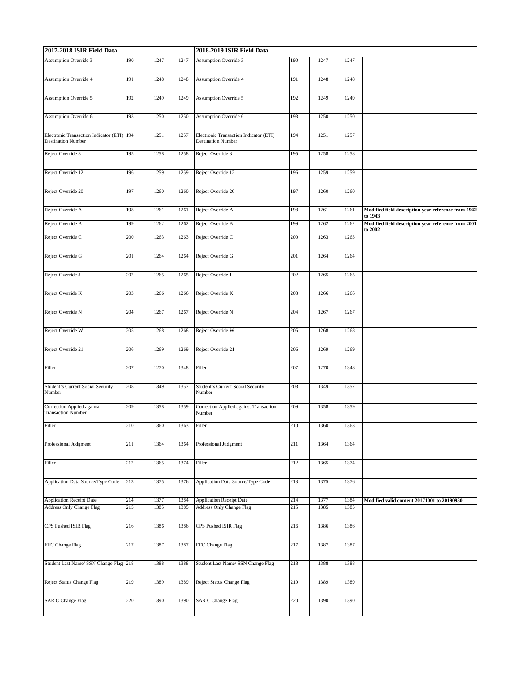| 2017-2018 ISIR Field Data                                               |     |      |      | 2018-2019 ISIR Field Data                                           |     |      |      |                                                                |  |
|-------------------------------------------------------------------------|-----|------|------|---------------------------------------------------------------------|-----|------|------|----------------------------------------------------------------|--|
| <b>Assumption Override 3</b>                                            | 190 | 1247 | 1247 | <b>Assumption Override 3</b>                                        | 190 | 1247 | 1247 |                                                                |  |
| <b>Assumption Override 4</b>                                            | 191 | 1248 | 1248 | <b>Assumption Override 4</b>                                        | 191 | 1248 | 1248 |                                                                |  |
| <b>Assumption Override 5</b>                                            | 192 | 1249 | 1249 | <b>Assumption Override 5</b>                                        | 192 | 1249 | 1249 |                                                                |  |
| Assumption Override 6                                                   | 193 | 1250 | 1250 | Assumption Override 6                                               | 193 | 1250 | 1250 |                                                                |  |
| Electronic Transaction Indicator (ETI) 194<br><b>Destination Number</b> |     | 1251 | 1257 | Electronic Transaction Indicator (ETI)<br><b>Destination Number</b> | 194 | 1251 | 1257 |                                                                |  |
| Reject Override 3                                                       | 195 | 1258 | 1258 | Reject Override 3                                                   | 195 | 1258 | 1258 |                                                                |  |
| Reject Override 12                                                      | 196 | 1259 | 1259 | Reject Override 12                                                  | 196 | 1259 | 1259 |                                                                |  |
| Reject Override 20                                                      | 197 | 1260 | 1260 | Reject Override 20                                                  | 197 | 1260 | 1260 |                                                                |  |
| Reject Override A                                                       | 198 | 1261 | 1261 | Reject Override A                                                   | 198 | 1261 | 1261 | Modified field description year reference from 1942<br>to 1943 |  |
| Reject Override B                                                       | 199 | 1262 | 1262 | Reject Override B                                                   | 199 | 1262 | 1262 | Modified field description year reference from 2001<br>to 2002 |  |
| Reject Override C                                                       | 200 | 1263 | 1263 | Reject Override C                                                   | 200 | 1263 | 1263 |                                                                |  |
| Reject Override G                                                       | 201 | 1264 | 1264 | Reject Override G                                                   | 201 | 1264 | 1264 |                                                                |  |
| Reject Override J                                                       | 202 | 1265 | 1265 | Reject Override J                                                   | 202 | 1265 | 1265 |                                                                |  |
| Reject Override K                                                       | 203 | 1266 | 1266 | Reject Override K                                                   | 203 | 1266 | 1266 |                                                                |  |
| Reject Override N                                                       | 204 | 1267 | 1267 | Reject Override N                                                   | 204 | 1267 | 1267 |                                                                |  |
| Reject Override W                                                       | 205 | 1268 | 1268 | Reject Override W                                                   | 205 | 1268 | 1268 |                                                                |  |
| Reject Override 21                                                      | 206 | 1269 | 1269 | Reject Override 21                                                  | 206 | 1269 | 1269 |                                                                |  |
| Filler                                                                  | 207 | 1270 | 1348 | Filler                                                              | 207 | 1270 | 1348 |                                                                |  |
| Student's Current Social Security<br>Number                             | 208 | 1349 | 1357 | Student's Current Social Security<br>Number                         | 208 | 1349 | 1357 |                                                                |  |
| Correction Applied against<br><b>Transaction Number</b>                 | 209 | 1358 | 1359 | Correction Applied against Transaction<br>Number                    | 209 | 1358 | 1359 |                                                                |  |
| Filler                                                                  | 210 | 1360 | 1363 | Filler                                                              | 210 | 1360 | 1363 |                                                                |  |
| Professional Judgment                                                   | 211 | 1364 | 1364 | Professional Judgment                                               | 211 | 1364 | 1364 |                                                                |  |
| Filler                                                                  | 212 | 1365 | 1374 | Filler                                                              | 212 | 1365 | 1374 |                                                                |  |
| Application Data Source/Type Code                                       | 213 | 1375 | 1376 | Application Data Source/Type Code                                   | 213 | 1375 | 1376 |                                                                |  |
| Application Receipt Date                                                | 214 | 1377 | 1384 | <b>Application Receipt Date</b>                                     | 214 | 1377 | 1384 | Modified valid content 20171001 to 20190930                    |  |
| Address Only Change Flag                                                | 215 | 1385 | 1385 | Address Only Change Flag                                            | 215 | 1385 | 1385 |                                                                |  |
| CPS Pushed ISIR Flag                                                    | 216 | 1386 | 1386 | CPS Pushed ISIR Flag                                                | 216 | 1386 | 1386 |                                                                |  |
| <b>EFC Change Flag</b>                                                  | 217 | 1387 | 1387 | <b>EFC Change Flag</b>                                              | 217 | 1387 | 1387 |                                                                |  |
| Student Last Name/ SSN Change Flag 218                                  |     | 1388 | 1388 | Student Last Name/ SSN Change Flag                                  | 218 | 1388 | 1388 |                                                                |  |
| Reject Status Change Flag                                               | 219 | 1389 | 1389 | Reject Status Change Flag                                           | 219 | 1389 | 1389 |                                                                |  |
| <b>SAR C Change Flag</b>                                                | 220 | 1390 | 1390 | <b>SAR C Change Flag</b>                                            | 220 | 1390 | 1390 |                                                                |  |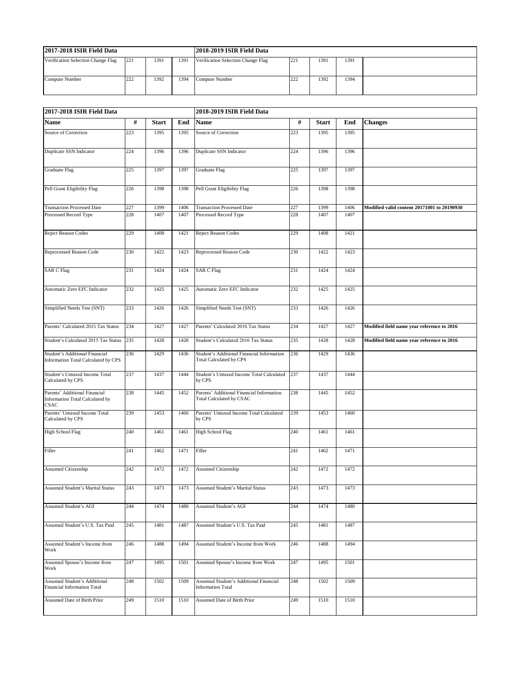| 2017-2018 ISIR Field Data          |     |      |      | 2018-2019 ISIR Field Data          |     |      |      |  |
|------------------------------------|-----|------|------|------------------------------------|-----|------|------|--|
| Verification Selection Change Flag | 221 | 1391 | 1391 | Verification Selection Change Flag | 221 | 1391 | 1391 |  |
| Compute Number                     | ∠∠∠ | 1392 | 1394 | Compute Number                     | 222 | 1392 | 1394 |  |

| 2017-2018 ISIR Field Data                                                |     |              |      | 2018-2019 ISIR Field Data                                                    |     |              |      |                                             |  |  |
|--------------------------------------------------------------------------|-----|--------------|------|------------------------------------------------------------------------------|-----|--------------|------|---------------------------------------------|--|--|
| <b>Name</b>                                                              | #   | <b>Start</b> | End  | Name                                                                         | #   | <b>Start</b> | End  | <b>Changes</b>                              |  |  |
| Source of Correction                                                     | 223 | 1395         | 1395 | Source of Correction                                                         | 223 | 1395         | 1395 |                                             |  |  |
| Duplicate SSN Indicator                                                  | 224 | 1396         | 1396 | Duplicate SSN Indicator                                                      | 224 | 1396         | 1396 |                                             |  |  |
| Graduate Flag                                                            | 225 | 1397         | 1397 | Graduate Flag                                                                | 225 | 1397         | 1397 |                                             |  |  |
| Pell Grant Eligibility Flag                                              | 226 | 1398         | 1398 | Pell Grant Eligibility Flag                                                  | 226 | 1398         | 1398 |                                             |  |  |
| <b>Transaction Processed Date</b>                                        | 227 | 1399         | 1406 | <b>Transaction Processed Date</b>                                            | 227 | 1399         | 1406 | Modified valid content 20171001 to 20190930 |  |  |
| Processed Record Type                                                    | 228 | 1407         | 1407 | Processed Record Type                                                        | 228 | 1407         | 1407 |                                             |  |  |
| Reject Reason Codes                                                      | 229 | 1408         | 1421 | <b>Reject Reason Codes</b>                                                   | 229 | 1408         | 1421 |                                             |  |  |
| Reprocessed Reason Code                                                  | 230 | 1422         | 1423 | Reprocessed Reason Code                                                      | 230 | 1422         | 1423 |                                             |  |  |
| <b>SAR C Flag</b>                                                        | 231 | 1424         | 1424 | <b>SAR C Flag</b>                                                            | 231 | 1424         | 1424 |                                             |  |  |
| Automatic Zero EFC Indicator                                             | 232 | 1425         | 1425 | Automatic Zero EFC Indicator                                                 | 232 | 1425         | 1425 |                                             |  |  |
| Simplified Needs Test (SNT)                                              | 233 | 1426         | 1426 | Simplified Needs Test (SNT)                                                  | 233 | 1426         | 1426 |                                             |  |  |
| Parents' Calculated 2015 Tax Status                                      | 234 | 1427         | 1427 | Parents' Calculated 2016 Tax Status                                          | 234 | 1427         | 1427 | Modified field name year reference to 2016  |  |  |
| Student's Calculated 2015 Tax Status                                     | 235 | 1428         | 1428 | Student's Calculated 2016 Tax Status                                         | 235 | 1428         | 1428 | Modified field name year reference to 2016  |  |  |
| Student's Additional Financial<br>Information Total Calculated by CPS    | 236 | 1429         | 1436 | Student's Additional Financial Information<br><b>Total Calculated by CPS</b> | 236 | 1429         | 1436 |                                             |  |  |
| Student's Untaxed Income Total<br>Calculated by CPS                      | 237 | 1437         | 1444 | Student's Untaxed Income Total Calculated<br>by CPS                          | 237 | 1437         | 1444 |                                             |  |  |
| Parents' Additional Financial<br>Information Total Calculated by<br>CSAC | 238 | 1445         | 1452 | Parents' Additional Financial Information<br>Total Calculated by CSAC        | 238 | 1445         | 1452 |                                             |  |  |
| Parents' Untaxed Income Total<br>Calculated by CPS                       | 239 | 1453         | 1460 | Parents' Untaxed Income Total Calculated<br>by CPS                           | 239 | 1453         | 1460 |                                             |  |  |
| <b>High School Flag</b>                                                  | 240 | 1461         | 1461 | <b>High School Flag</b>                                                      | 240 | 1461         | 1461 |                                             |  |  |
| Filler                                                                   | 241 | 1462         | 1471 | Filler                                                                       | 241 | 1462         | 1471 |                                             |  |  |
| <b>Assumed Citizenship</b>                                               | 242 | 1472         | 1472 | Assumed Citizenship                                                          | 242 | 1472         | 1472 |                                             |  |  |
| Assumed Student's Marital Status                                         | 243 | 1473         | 1473 | Assumed Student's Marital Status                                             | 243 | 1473         | 1473 |                                             |  |  |
| Assumed Student's AGI                                                    | 244 | 1474         | 1480 | Assumed Student's AGI                                                        | 244 | 1474         | 1480 |                                             |  |  |
| Assumed Student's U.S. Tax Paid                                          | 245 | 1481         | 1487 | Assumed Student's U.S. Tax Paid                                              | 245 | 1481         | 1487 |                                             |  |  |
| Assumed Student's Income from<br>Work                                    | 246 | 1488         | 1494 | Assumed Student's Income from Work                                           | 246 | 1488         | 1494 |                                             |  |  |
| Assumed Spouse's Income from<br>Work                                     | 247 | 1495         | 1501 | Assumed Spouse's Income from Work                                            | 247 | 1495         | 1501 |                                             |  |  |
| Assumed Student's Additional<br>Financial Information Total              | 248 | 1502         | 1509 | Assumed Student's Additional Financial<br><b>Information Total</b>           | 248 | 1502         | 1509 |                                             |  |  |
| Assumed Date of Birth Prior                                              | 249 | 1510         | 1510 | Assumed Date of Birth Prior                                                  | 249 | 1510         | 1510 |                                             |  |  |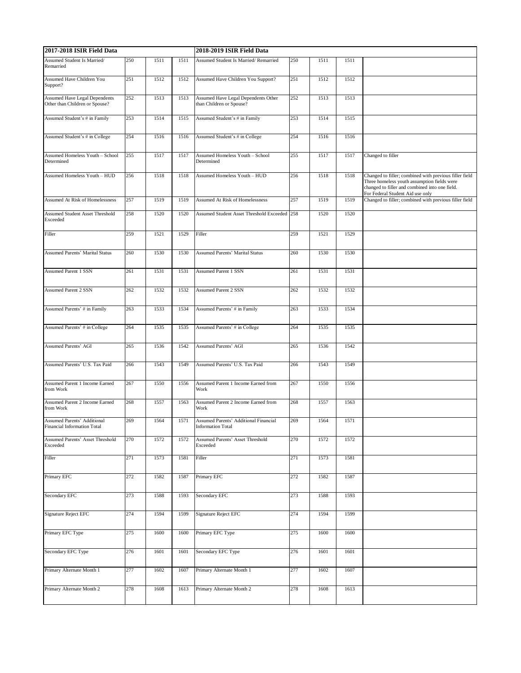| 2017-2018 ISIR Field Data                                              |     |      |      | 2018-2019 ISIR Field Data                                         |     |      |      |                                                                                                                                                                                             |  |
|------------------------------------------------------------------------|-----|------|------|-------------------------------------------------------------------|-----|------|------|---------------------------------------------------------------------------------------------------------------------------------------------------------------------------------------------|--|
| Assumed Student Is Married/<br>Remarried                               | 250 | 1511 | 1511 | Assumed Student Is Married/Remarried                              | 250 | 1511 | 1511 |                                                                                                                                                                                             |  |
| Assumed Have Children You<br>Support?                                  | 251 | 1512 | 1512 | Assumed Have Children You Support?                                | 251 | 1512 | 1512 |                                                                                                                                                                                             |  |
| <b>Assumed Have Legal Dependents</b><br>Other than Children or Spouse? | 252 | 1513 | 1513 | Assumed Have Legal Dependents Other<br>than Children or Spouse?   | 252 | 1513 | 1513 |                                                                                                                                                                                             |  |
| Assumed Student's # in Family                                          | 253 | 1514 | 1515 | Assumed Student's # in Family                                     | 253 | 1514 | 1515 |                                                                                                                                                                                             |  |
| Assumed Student's # in College                                         | 254 | 1516 | 1516 | Assumed Student's # in College                                    | 254 | 1516 | 1516 |                                                                                                                                                                                             |  |
| Assumed Homeless Youth - School<br>Determined                          | 255 | 1517 | 1517 | Assumed Homeless Youth - School<br>Determined                     | 255 | 1517 | 1517 | Changed to filler                                                                                                                                                                           |  |
| Assumed Homeless Youth - HUD                                           | 256 | 1518 | 1518 | <b>Assumed Homeless Youth - HUD</b>                               | 256 | 1518 | 1518 | Changed to filler; combined with previous filler field<br>Three homeless youth assumption fields were<br>changed to filler and combined into one field.<br>For Federal Student Aid use only |  |
| Assumed At Risk of Homelessness                                        | 257 | 1519 | 1519 | Assumed At Risk of Homelessness                                   | 257 | 1519 | 1519 | Changed to filler; combined with previous filler field                                                                                                                                      |  |
| <b>Assumed Student Asset Threshold</b><br>Exceeded                     | 258 | 1520 | 1520 | Assumed Student Asset Threshold Exceeded 258                      |     | 1520 | 1520 |                                                                                                                                                                                             |  |
| Filler                                                                 | 259 | 1521 | 1529 | Filler                                                            | 259 | 1521 | 1529 |                                                                                                                                                                                             |  |
| Assumed Parents' Marital Status                                        | 260 | 1530 | 1530 | <b>Assumed Parents' Marital Status</b>                            | 260 | 1530 | 1530 |                                                                                                                                                                                             |  |
| <b>Assumed Parent 1 SSN</b>                                            | 261 | 1531 | 1531 | <b>Assumed Parent 1 SSN</b>                                       | 261 | 1531 | 1531 |                                                                                                                                                                                             |  |
| <b>Assumed Parent 2 SSN</b>                                            | 262 | 1532 | 1532 | <b>Assumed Parent 2 SSN</b>                                       | 262 | 1532 | 1532 |                                                                                                                                                                                             |  |
| Assumed Parents' # in Family                                           | 263 | 1533 | 1534 | Assumed Parents' # in Family                                      | 263 | 1533 | 1534 |                                                                                                                                                                                             |  |
| Assumed Parents' # in College                                          | 264 | 1535 | 1535 | Assumed Parents' # in College                                     | 264 | 1535 | 1535 |                                                                                                                                                                                             |  |
| Assumed Parents' AGI                                                   | 265 | 1536 | 1542 | <b>Assumed Parents' AGI</b>                                       | 265 | 1536 | 1542 |                                                                                                                                                                                             |  |
| Assumed Parents' U.S. Tax Paid                                         | 266 | 1543 | 1549 | Assumed Parents' U.S. Tax Paid                                    | 266 | 1543 | 1549 |                                                                                                                                                                                             |  |
| Assumed Parent 1 Income Earned<br>from Work                            | 267 | 1550 | 1556 | Assumed Parent 1 Income Earned from<br>Work                       | 267 | 1550 | 1556 |                                                                                                                                                                                             |  |
| Assumed Parent 2 Income Earned<br>from Work                            | 268 | 1557 | 1563 | <b>Assumed Parent 2 Income Earned from</b><br>Work                | 268 | 1557 | 1563 |                                                                                                                                                                                             |  |
| Assumed Parents' Additional<br><b>Financial Information Total</b>      | 269 | 1564 | 1571 | Assumed Parents' Additional Financial<br><b>Information Total</b> | 269 | 1564 | 1571 |                                                                                                                                                                                             |  |
| Assumed Parents' Asset Threshold<br>Exceeded                           | 270 | 1572 | 1572 | Assumed Parents' Asset Threshold<br>Exceeded                      | 270 | 1572 | 1572 |                                                                                                                                                                                             |  |
| Filler                                                                 | 271 | 1573 | 1581 | Filler                                                            | 271 | 1573 | 1581 |                                                                                                                                                                                             |  |
| Primary EFC                                                            | 272 | 1582 | 1587 | Primary EFC                                                       | 272 | 1582 | 1587 |                                                                                                                                                                                             |  |
| Secondary EFC                                                          | 273 | 1588 | 1593 | Secondary EFC                                                     | 273 | 1588 | 1593 |                                                                                                                                                                                             |  |
| <b>Signature Reject EFC</b>                                            | 274 | 1594 | 1599 | <b>Signature Reject EFC</b>                                       | 274 | 1594 | 1599 |                                                                                                                                                                                             |  |
| Primary EFC Type                                                       | 275 | 1600 | 1600 | Primary EFC Type                                                  | 275 | 1600 | 1600 |                                                                                                                                                                                             |  |
| Secondary EFC Type                                                     | 276 | 1601 | 1601 | Secondary EFC Type                                                | 276 | 1601 | 1601 |                                                                                                                                                                                             |  |
| Primary Alternate Month 1                                              | 277 | 1602 | 1607 | Primary Alternate Month 1                                         | 277 | 1602 | 1607 |                                                                                                                                                                                             |  |
| Primary Alternate Month 2                                              | 278 | 1608 | 1613 | Primary Alternate Month 2                                         | 278 | 1608 | 1613 |                                                                                                                                                                                             |  |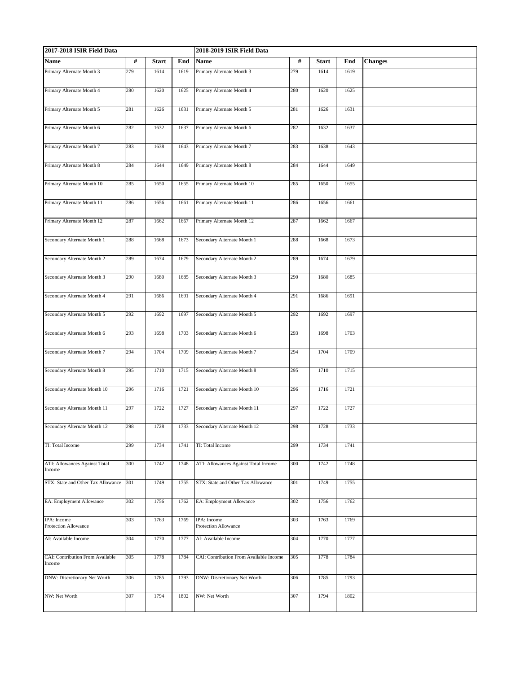| 2017-2018 ISIR Field Data                  |      |              |      | 2018-2019 ISIR Field Data               |      |              |      |                |  |
|--------------------------------------------|------|--------------|------|-----------------------------------------|------|--------------|------|----------------|--|
| Name                                       | $\#$ | <b>Start</b> | End  | Name                                    | $\#$ | <b>Start</b> | End  | <b>Changes</b> |  |
| Primary Alternate Month 3                  | 279  | 1614         | 1619 | Primary Alternate Month 3               | 279  | 1614         | 1619 |                |  |
| Primary Alternate Month 4                  | 280  | 1620         | 1625 | Primary Alternate Month 4               | 280  | 1620         | 1625 |                |  |
| Primary Alternate Month 5                  | 281  | 1626         | 1631 | Primary Alternate Month 5               | 281  | 1626         | 1631 |                |  |
| Primary Alternate Month 6                  | 282  | 1632         | 1637 | Primary Alternate Month 6               | 282  | 1632         | 1637 |                |  |
| Primary Alternate Month 7                  | 283  | 1638         | 1643 | Primary Alternate Month 7               | 283  | 1638         | 1643 |                |  |
| Primary Alternate Month 8                  | 284  | 1644         | 1649 | Primary Alternate Month 8               | 284  | 1644         | 1649 |                |  |
| Primary Alternate Month 10                 | 285  | 1650         | 1655 | Primary Alternate Month 10              | 285  | 1650         | 1655 |                |  |
| Primary Alternate Month 11                 | 286  | 1656         | 1661 | Primary Alternate Month 11              | 286  | 1656         | 1661 |                |  |
| Primary Alternate Month 12                 | 287  | 1662         | 1667 | Primary Alternate Month 12              | 287  | 1662         | 1667 |                |  |
| Secondary Alternate Month 1                | 288  | 1668         | 1673 | Secondary Alternate Month 1             | 288  | 1668         | 1673 |                |  |
| Secondary Alternate Month 2                | 289  | 1674         | 1679 | Secondary Alternate Month 2             | 289  | 1674         | 1679 |                |  |
| Secondary Alternate Month 3                | 290  | 1680         | 1685 | Secondary Alternate Month 3             | 290  | 1680         | 1685 |                |  |
| Secondary Alternate Month 4                | 291  | 1686         | 1691 | Secondary Alternate Month 4             | 291  | 1686         | 1691 |                |  |
| Secondary Alternate Month 5                | 292  | 1692         | 1697 | Secondary Alternate Month 5             | 292  | 1692         | 1697 |                |  |
| Secondary Alternate Month 6                | 293  | 1698         | 1703 | Secondary Alternate Month 6             | 293  | 1698         | 1703 |                |  |
| Secondary Alternate Month 7                | 294  | 1704         | 1709 | Secondary Alternate Month 7             | 294  | 1704         | 1709 |                |  |
| Secondary Alternate Month 8                | 295  | 1710         | 1715 | Secondary Alternate Month 8             | 295  | 1710         | 1715 |                |  |
| Secondary Alternate Month 10               | 296  | 1716         | 1721 | Secondary Alternate Month 10            | 296  | 1716         | 1721 |                |  |
| Secondary Alternate Month 11               | 297  | 1722         | 1727 | Secondary Alternate Month 11            | 297  | 1722         | 1727 |                |  |
| Secondary Alternate Month 12               | 298  | 1728         |      | 1733 Secondary Alternate Month 12       | 298  | 1728         | 1733 |                |  |
| TI: Total Income                           | 299  | 1734         | 1741 | TI: Total Income                        | 299  | 1734         | 1741 |                |  |
| ATI: Allowances Against Total<br>Income    | 300  | 1742         | 1748 | ATI: Allowances Against Total Income    | 300  | 1742         | 1748 |                |  |
| STX: State and Other Tax Allowance         | 301  | 1749         | 1755 | STX: State and Other Tax Allowance      | 301  | 1749         | 1755 |                |  |
| EA: Employment Allowance                   | 302  | 1756         | 1762 | EA: Employment Allowance                | 302  | 1756         | 1762 |                |  |
| IPA: Income<br>Protection Allowance        | 303  | 1763         | 1769 | IPA: Income<br>Protection Allowance     | 303  | 1763         | 1769 |                |  |
| AI: Available Income                       | 304  | 1770         | 1777 | AI: Available Income                    | 304  | 1770         | 1777 |                |  |
| CAI: Contribution From Available<br>Income | 305  | 1778         | 1784 | CAI: Contribution From Available Income | 305  | 1778         | 1784 |                |  |
| DNW: Discretionary Net Worth               | 306  | 1785         | 1793 | DNW: Discretionary Net Worth            | 306  | 1785         | 1793 |                |  |
| NW: Net Worth                              | 307  | 1794         | 1802 | NW: Net Worth                           | 307  | 1794         | 1802 |                |  |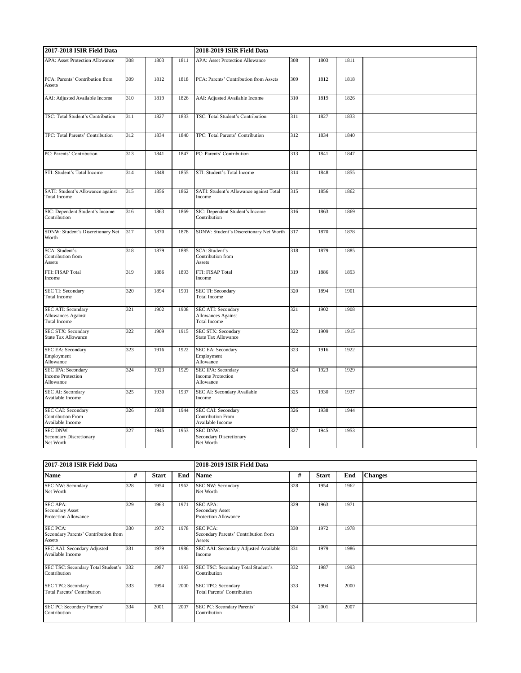| 2017-2018 ISIR Field Data                                              |     |      |      | 2018-2019 ISIR Field Data                                                 |     |      |      |  |  |  |
|------------------------------------------------------------------------|-----|------|------|---------------------------------------------------------------------------|-----|------|------|--|--|--|
| <b>APA: Asset Protection Allowance</b>                                 | 308 | 1803 | 1811 | <b>APA: Asset Protection Allowance</b>                                    | 308 | 1803 | 1811 |  |  |  |
| PCA: Parents' Contribution from<br>Assets                              | 309 | 1812 | 1818 | PCA: Parents' Contribution from Assets                                    | 309 | 1812 | 1818 |  |  |  |
| AAI: Adjusted Available Income                                         | 310 | 1819 | 1826 | AAI: Adjusted Available Income                                            | 310 | 1819 | 1826 |  |  |  |
|                                                                        |     |      |      |                                                                           |     |      |      |  |  |  |
| TSC: Total Student's Contribution                                      | 311 | 1827 | 1833 | TSC: Total Student's Contribution                                         | 311 | 1827 | 1833 |  |  |  |
| TPC: Total Parents' Contribution                                       | 312 | 1834 | 1840 | TPC: Total Parents' Contribution                                          | 312 | 1834 | 1840 |  |  |  |
| PC: Parents' Contribution                                              | 313 | 1841 | 1847 | PC: Parents' Contribution                                                 | 313 | 1841 | 1847 |  |  |  |
| STI: Student's Total Income                                            | 314 | 1848 | 1855 | STI: Student's Total Income                                               | 314 | 1848 | 1855 |  |  |  |
| SATI: Student's Allowance against<br><b>Total Income</b>               | 315 | 1856 | 1862 | SATI: Student's Allowance against Total<br>Income                         | 315 | 1856 | 1862 |  |  |  |
| SIC: Dependent Student's Income<br>Contribution                        | 316 | 1863 | 1869 | SIC: Dependent Student's Income<br>Contribution                           | 316 | 1863 | 1869 |  |  |  |
| SDNW: Student's Discretionary Net<br>Worth                             | 317 | 1870 | 1878 | SDNW: Student's Discretionary Net Worth                                   | 317 | 1870 | 1878 |  |  |  |
| SCA: Student's<br>Contribution from<br>Assets                          | 318 | 1879 | 1885 | SCA: Student's<br>Contribution from<br>Assets                             | 318 | 1879 | 1885 |  |  |  |
| FTI: FISAP Total<br>Income                                             | 319 | 1886 | 1893 | FTI: FISAP Total<br>Income                                                | 319 | 1886 | 1893 |  |  |  |
| SEC TI: Secondary<br><b>Total Income</b>                               | 320 | 1894 | 1901 | SEC TI: Secondary<br><b>Total Income</b>                                  | 320 | 1894 | 1901 |  |  |  |
| <b>SEC ATI: Secondary</b><br>Allowances Against<br><b>Total Income</b> | 321 | 1902 | 1908 | SEC ATI: Secondary<br><b>Allowances Against</b><br><b>Total Income</b>    | 321 | 1902 | 1908 |  |  |  |
| SEC STX: Secondary<br>State Tax Allowance                              | 322 | 1909 | 1915 | SEC STX: Secondary<br>State Tax Allowance                                 | 322 | 1909 | 1915 |  |  |  |
| <b>SEC EA: Secondary</b><br>Employment<br>Allowance                    | 323 | 1916 | 1922 | <b>SEC EA: Secondary</b><br>Employment<br>Allowance                       | 323 | 1916 | 1922 |  |  |  |
| <b>SEC IPA: Secondary</b><br><b>Income Protection</b><br>Allowance     | 324 | 1923 | 1929 | <b>SEC IPA: Secondary</b><br><b>Income Protection</b><br>Allowance        | 324 | 1923 | 1929 |  |  |  |
| SEC AI: Secondary<br>Available Income                                  | 325 | 1930 | 1937 | SEC AI: Secondary Available<br>Income                                     | 325 | 1930 | 1937 |  |  |  |
| SEC CAI: Secondary<br><b>Contribution From</b><br>Available Income     | 326 | 1938 | 1944 | <b>SEC CAI: Secondary</b><br><b>Contribution From</b><br>Available Income | 326 | 1938 | 1944 |  |  |  |
| <b>SEC DNW:</b><br><b>Secondary Discretionary</b><br>Net Worth         | 327 | 1945 | 1953 | <b>SEC DNW:</b><br>Secondary Discretionary<br>Net Worth                   | 327 | 1945 | 1953 |  |  |  |

| 2017-2018 ISIR Field Data                                         |     |              |      | 2018-2019 ISIR Field Data                                         |     |              |      |                |  |
|-------------------------------------------------------------------|-----|--------------|------|-------------------------------------------------------------------|-----|--------------|------|----------------|--|
| Name                                                              | #   | <b>Start</b> | End  | <b>Name</b>                                                       | #   | <b>Start</b> | End  | <b>Changes</b> |  |
| SEC NW: Secondary<br>Net Worth                                    | 328 | 1954         | 1962 | SEC NW: Secondary<br>Net Worth                                    | 328 | 1954         | 1962 |                |  |
| <b>SEC APA:</b><br>Secondary Asset<br><b>Protection Allowance</b> | 329 | 1963         | 1971 | <b>SEC APA:</b><br>Secondary Asset<br>Protection Allowance        | 329 | 1963         | 1971 |                |  |
| <b>SEC PCA:</b><br>Secondary Parents' Contribution from<br>Assets | 330 | 1972         | 1978 | <b>SEC PCA:</b><br>Secondary Parents' Contribution from<br>Assets | 330 | 1972         | 1978 |                |  |
| SEC AAI: Secondary Adjusted<br>Available Income                   | 331 | 1979         | 1986 | SEC AAI: Secondary Adjusted Available<br>Income                   | 331 | 1979         | 1986 |                |  |
| SEC TSC: Secondary Total Student's<br>Contribution                | 332 | 1987         | 1993 | SEC TSC: Secondary Total Student's<br>Contribution                | 332 | 1987         | 1993 |                |  |
| <b>SEC TPC: Secondary</b><br><b>Total Parents' Contribution</b>   | 333 | 1994         | 2000 | <b>SEC TPC: Secondary</b><br><b>Total Parents' Contribution</b>   | 333 | 1994         | 2000 |                |  |
| SEC PC: Secondary Parents'<br>Contribution                        | 334 | 2001         | 2007 | SEC PC: Secondary Parents'<br>Contribution                        | 334 | 2001         | 2007 |                |  |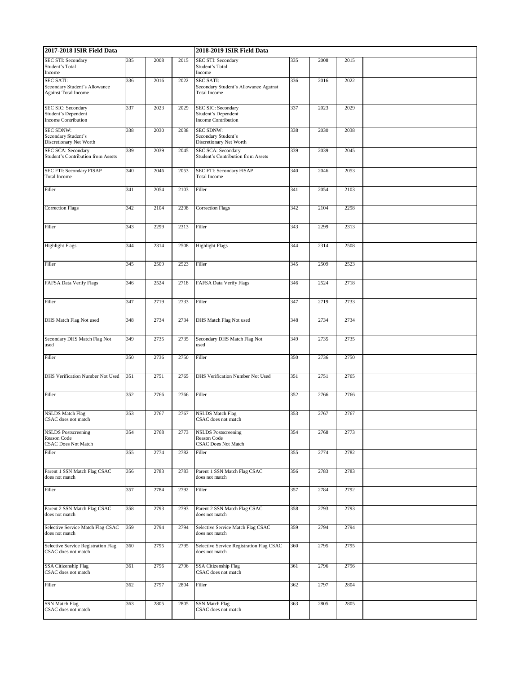| 2017-2018 ISIR Field Data                                                        |     |      |      | 2018-2019 ISIR Field Data                                                        |     |      |      |  |  |
|----------------------------------------------------------------------------------|-----|------|------|----------------------------------------------------------------------------------|-----|------|------|--|--|
| SEC STI: Secondary<br>Student's Total<br>Income                                  | 335 | 2008 | 2015 | SEC STI: Secondary<br>Student's Total<br>Income                                  | 335 | 2008 | 2015 |  |  |
| <b>SEC SATI:</b><br>Secondary Student's Allowance<br><b>Against Total Income</b> | 336 | 2016 | 2022 | <b>SEC SATI:</b><br>Secondary Student's Allowance Against<br><b>Total Income</b> | 336 | 2016 | 2022 |  |  |
| SEC SIC: Secondary<br>Student's Dependent<br><b>Income Contribution</b>          | 337 | 2023 | 2029 | SEC SIC: Secondary<br>Student's Dependent<br><b>Income Contribution</b>          | 337 | 2023 | 2029 |  |  |
| <b>SEC SDNW:</b><br>Secondary Student's<br>Discretionary Net Worth               | 338 | 2030 | 2038 | <b>SEC SDNW:</b><br>Secondary Student's<br>Discretionary Net Worth               | 338 | 2030 | 2038 |  |  |
| <b>SEC SCA: Secondary</b><br>Student's Contribution from Assets                  | 339 | 2039 | 2045 | <b>SEC SCA: Secondary</b><br>Student's Contribution from Assets                  | 339 | 2039 | 2045 |  |  |
| SEC FTI: Secondary FISAP<br><b>Total Income</b>                                  | 340 | 2046 | 2053 | SEC FTI: Secondary FISAP<br><b>Total Income</b>                                  | 340 | 2046 | 2053 |  |  |
| Filler                                                                           | 341 | 2054 | 2103 | Filler                                                                           | 341 | 2054 | 2103 |  |  |
| <b>Correction Flags</b>                                                          | 342 | 2104 | 2298 | <b>Correction Flags</b>                                                          | 342 | 2104 | 2298 |  |  |
| Filler                                                                           | 343 | 2299 | 2313 | Filler                                                                           | 343 | 2299 | 2313 |  |  |
| <b>Highlight Flags</b>                                                           | 344 | 2314 | 2508 | <b>Highlight Flags</b>                                                           | 344 | 2314 | 2508 |  |  |
| Filler                                                                           | 345 | 2509 | 2523 | Filler                                                                           | 345 | 2509 | 2523 |  |  |
| FAFSA Data Verify Flags                                                          | 346 | 2524 | 2718 | FAFSA Data Verify Flags                                                          | 346 | 2524 | 2718 |  |  |
| Filler                                                                           | 347 | 2719 | 2733 | Filler                                                                           | 347 | 2719 | 2733 |  |  |
| DHS Match Flag Not used                                                          | 348 | 2734 | 2734 | DHS Match Flag Not used                                                          | 348 | 2734 | 2734 |  |  |
| Secondary DHS Match Flag Not<br>used                                             | 349 | 2735 | 2735 | Secondary DHS Match Flag Not<br>used                                             | 349 | 2735 | 2735 |  |  |
| Filler                                                                           | 350 | 2736 | 2750 | Filler                                                                           | 350 | 2736 | 2750 |  |  |
| DHS Verification Number Not Used                                                 | 351 | 2751 | 2765 | DHS Verification Number Not Used                                                 | 351 | 2751 | 2765 |  |  |
| Filler                                                                           | 352 | 2766 | 2766 | Filler                                                                           | 352 | 2766 | 2766 |  |  |
| <b>NSLDS</b> Match Flag<br>CSAC does not match                                   | 353 | 2767 | 2767 | <b>NSLDS</b> Match Flag<br>CSAC does not match                                   | 353 | 2767 | 2767 |  |  |
| <b>NSLDS</b> Postscreening<br>Reason Code<br><b>CSAC Does Not Match</b>          | 354 | 2768 | 2773 | <b>NSLDS</b> Postscreening<br>Reason Code<br><b>CSAC Does Not Match</b>          | 354 | 2768 | 2773 |  |  |
| Filler                                                                           | 355 | 2774 | 2782 | Filler                                                                           | 355 | 2774 | 2782 |  |  |
| Parent 1 SSN Match Flag CSAC<br>does not match                                   | 356 | 2783 | 2783 | Parent 1 SSN Match Flag CSAC<br>does not match                                   | 356 | 2783 | 2783 |  |  |
| Filler                                                                           | 357 | 2784 | 2792 | Filler                                                                           | 357 | 2784 | 2792 |  |  |
| Parent 2 SSN Match Flag CSAC<br>does not match                                   | 358 | 2793 | 2793 | Parent 2 SSN Match Flag CSAC<br>does not match                                   | 358 | 2793 | 2793 |  |  |
| Selective Service Match Flag CSAC<br>does not match                              | 359 | 2794 | 2794 | Selective Service Match Flag CSAC<br>does not match                              | 359 | 2794 | 2794 |  |  |
| Selective Service Registration Flag<br>CSAC does not match                       | 360 | 2795 | 2795 | Selective Service Registration Flag CSAC<br>does not match                       | 360 | 2795 | 2795 |  |  |
| <b>SSA Citizenship Flag</b><br>CSAC does not match                               | 361 | 2796 | 2796 | <b>SSA Citizenship Flag</b><br>CSAC does not match                               | 361 | 2796 | 2796 |  |  |
| Filler                                                                           | 362 | 2797 | 2804 | Filler                                                                           | 362 | 2797 | 2804 |  |  |
| <b>SSN Match Flag</b><br>CSAC does not match                                     | 363 | 2805 | 2805 | <b>SSN Match Flag</b><br>CSAC does not match                                     | 363 | 2805 | 2805 |  |  |